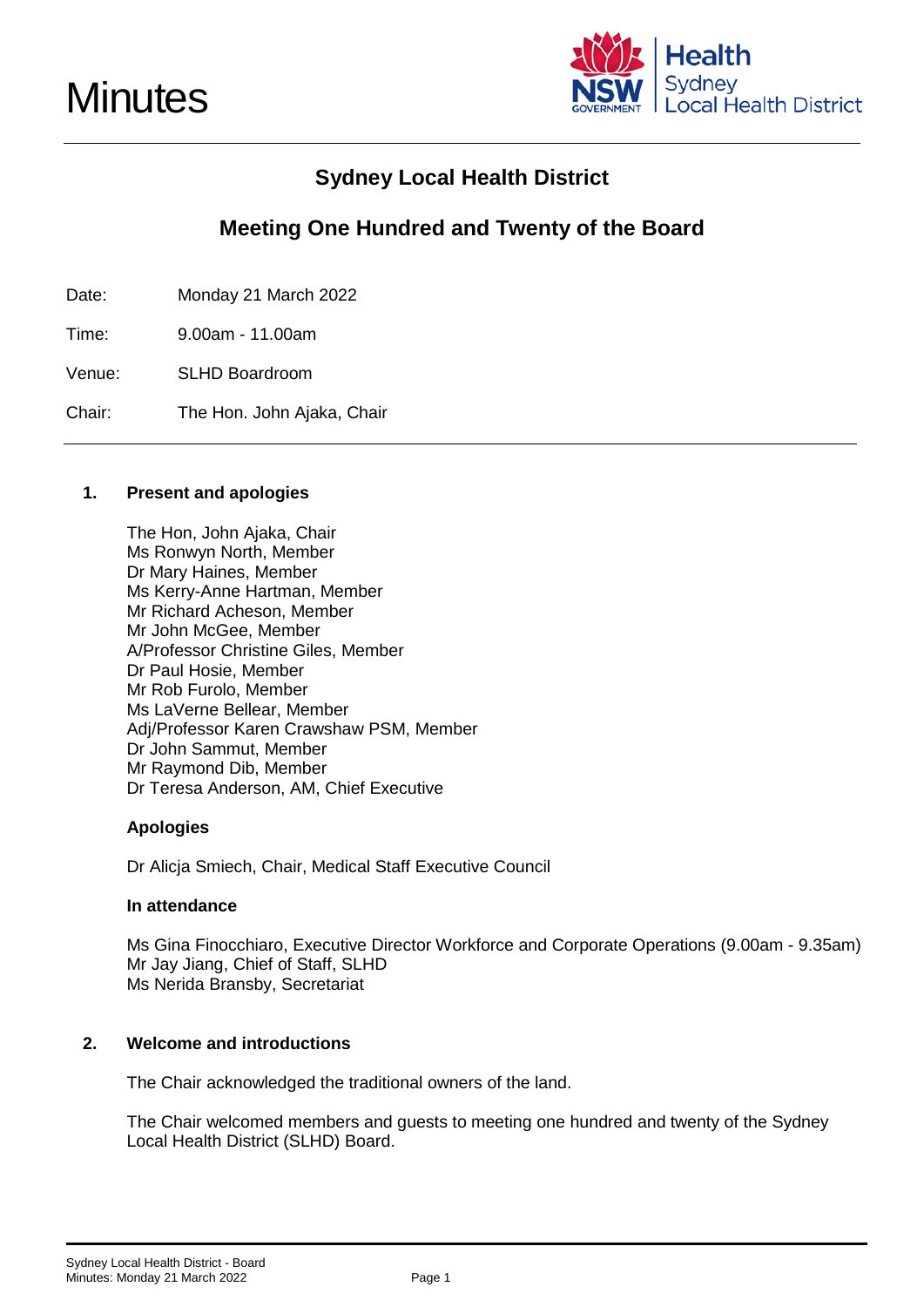

### **Sydney Local Health District**

### **Meeting One Hundred and Twenty of the Board**

Date: Monday 21 March 2022

Time: 9.00am - 11.00am

Venue: SLHD Boardroom

Chair: The Hon. John Ajaka, Chair

#### **1. Present and apologies**

The Hon, John Ajaka, Chair Ms Ronwyn North, Member Dr Mary Haines, Member Ms Kerry-Anne Hartman, Member Mr Richard Acheson, Member Mr John McGee, Member A/Professor Christine Giles, Member Dr Paul Hosie, Member Mr Rob Furolo, Member Ms LaVerne Bellear, Member Adj/Professor Karen Crawshaw PSM, Member Dr John Sammut, Member Mr Raymond Dib, Member Dr Teresa Anderson, AM, Chief Executive

#### **Apologies**

Dr Alicja Smiech, Chair, Medical Staff Executive Council

#### **In attendance**

Ms Gina Finocchiaro, Executive Director Workforce and Corporate Operations (9.00am - 9.35am) Mr Jay Jiang, Chief of Staff, SLHD Ms Nerida Bransby, Secretariat

#### **2. Welcome and introductions**

The Chair acknowledged the traditional owners of the land.

The Chair welcomed members and guests to meeting one hundred and twenty of the Sydney Local Health District (SLHD) Board.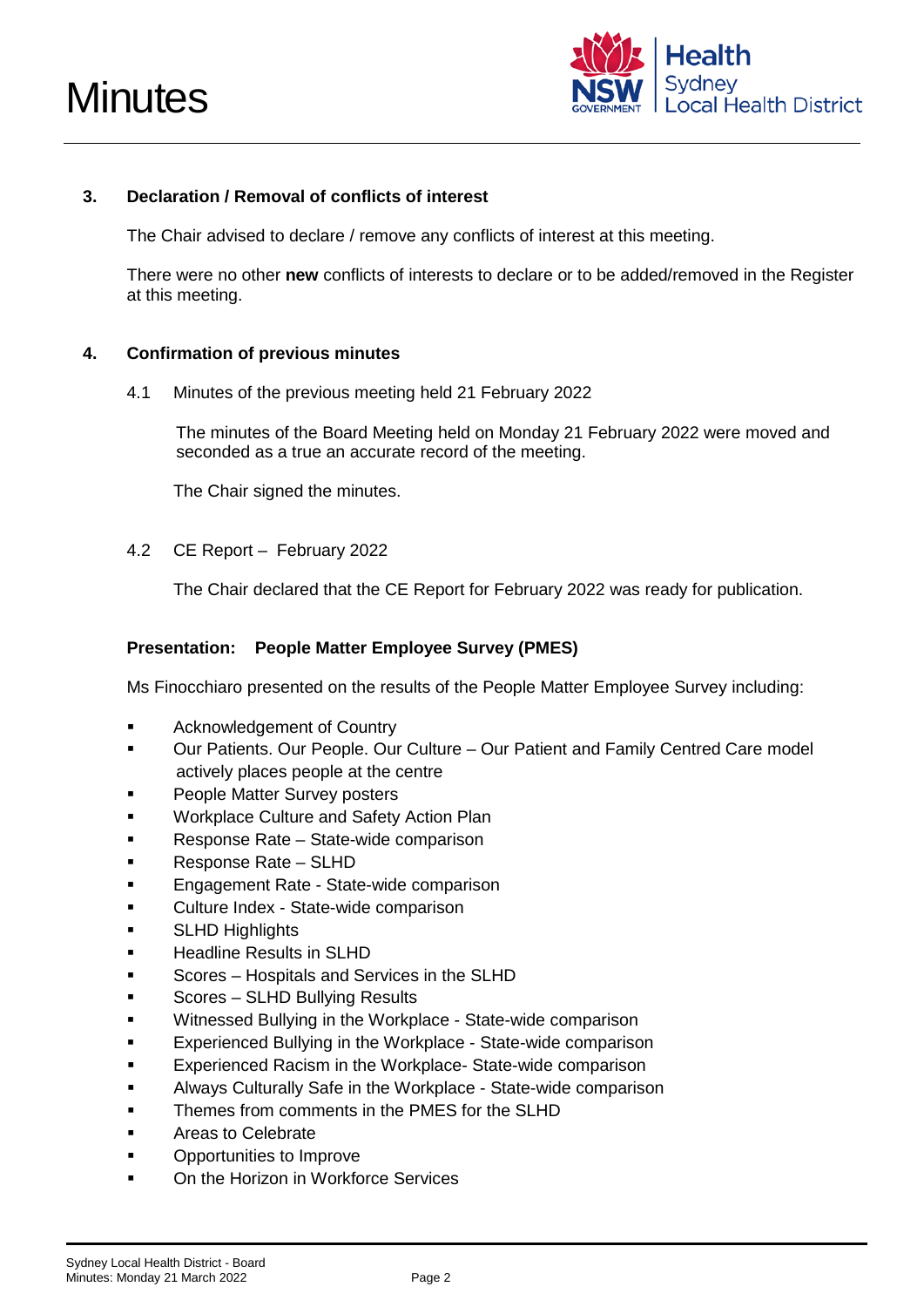



#### **3. Declaration / Removal of conflicts of interest**

The Chair advised to declare / remove any conflicts of interest at this meeting.

There were no other **new** conflicts of interests to declare or to be added/removed in the Register at this meeting.

#### **4. Confirmation of previous minutes**

4.1 Minutes of the previous meeting held 21 February 2022

The minutes of the Board Meeting held on Monday 21 February 2022 were moved and seconded as a true an accurate record of the meeting.

The Chair signed the minutes.

4.2 CE Report – February 2022

The Chair declared that the CE Report for February 2022 was ready for publication.

#### **Presentation: People Matter Employee Survey (PMES)**

Ms Finocchiaro presented on the results of the People Matter Employee Survey including:

- **EXECUTE:** Acknowledgement of Country
- Our Patients. Our People. Our Culture Our Patient and Family Centred Care model actively places people at the centre
- People Matter Survey posters
- Workplace Culture and Safety Action Plan
- Response Rate State-wide comparison
- Response Rate SLHD
- Engagement Rate State-wide comparison
- Culture Index State-wide comparison
- SLHD Highlights
- **Headline Results in SLHD**
- Scores Hospitals and Services in the SLHD
- Scores SLHD Bullying Results
- Witnessed Bullying in the Workplace State-wide comparison
- Experienced Bullying in the Workplace State-wide comparison
- Experienced Racism in the Workplace- State-wide comparison
- Always Culturally Safe in the Workplace State-wide comparison
- Themes from comments in the PMES for the SLHD
- Areas to Celebrate
- Opportunities to Improve
- On the Horizon in Workforce Services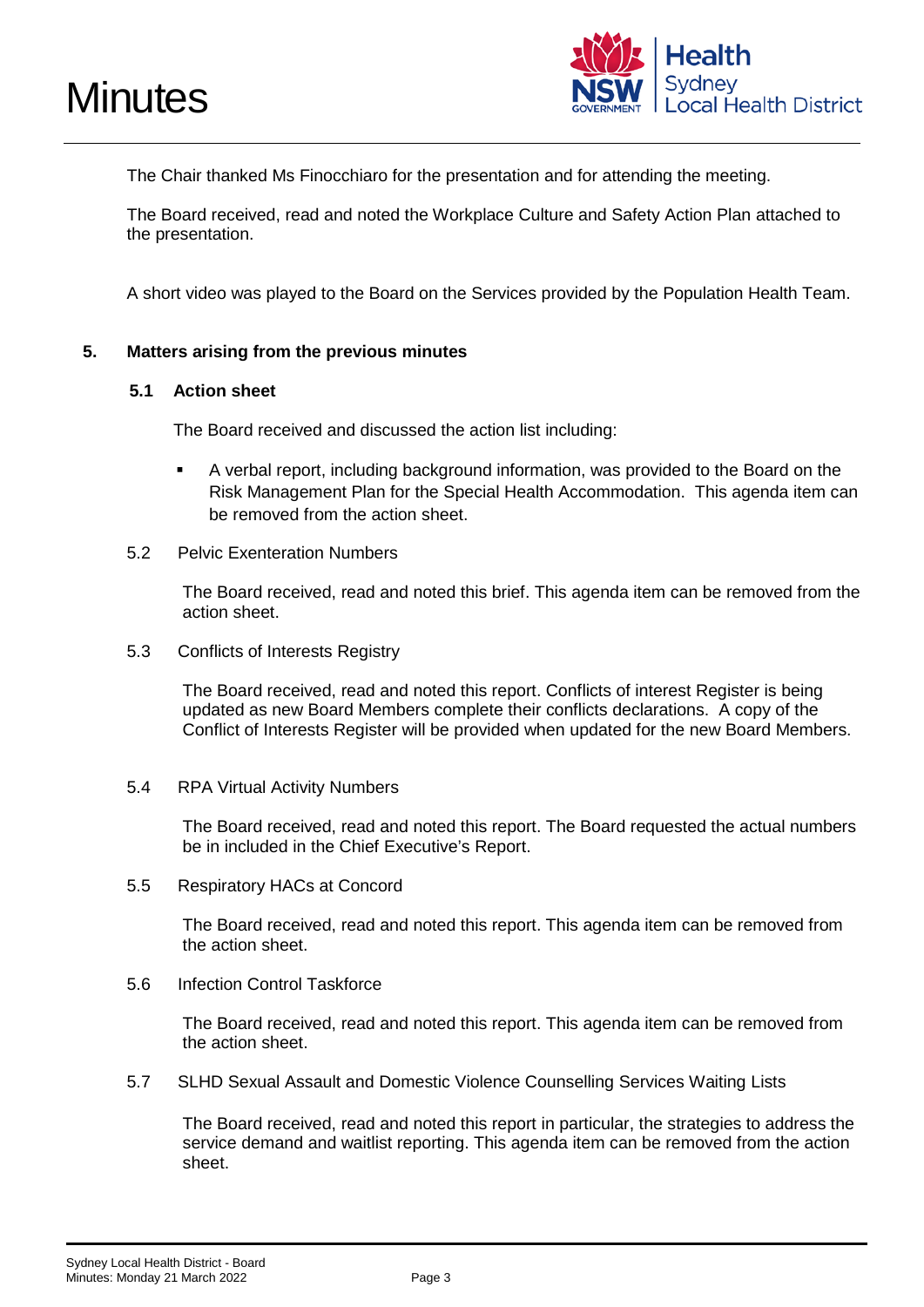

The Chair thanked Ms Finocchiaro for the presentation and for attending the meeting.

The Board received, read and noted the Workplace Culture and Safety Action Plan attached to the presentation.

A short video was played to the Board on the Services provided by the Population Health Team.

#### **5. Matters arising from the previous minutes**

#### **5.1 Action sheet**

The Board received and discussed the action list including:

- A verbal report, including background information, was provided to the Board on the Risk Management Plan for the Special Health Accommodation. This agenda item can be removed from the action sheet.
- 5.2 Pelvic Exenteration Numbers

The Board received, read and noted this brief. This agenda item can be removed from the action sheet.

5.3 Conflicts of Interests Registry

The Board received, read and noted this report. Conflicts of interest Register is being updated as new Board Members complete their conflicts declarations. A copy of the Conflict of Interests Register will be provided when updated for the new Board Members.

5.4 RPA Virtual Activity Numbers

The Board received, read and noted this report. The Board requested the actual numbers be in included in the Chief Executive's Report.

5.5 Respiratory HACs at Concord

The Board received, read and noted this report. This agenda item can be removed from the action sheet.

5.6 Infection Control Taskforce

The Board received, read and noted this report. This agenda item can be removed from the action sheet.

5.7 SLHD Sexual Assault and Domestic Violence Counselling Services Waiting Lists

The Board received, read and noted this report in particular, the strategies to address the service demand and waitlist reporting. This agenda item can be removed from the action sheet.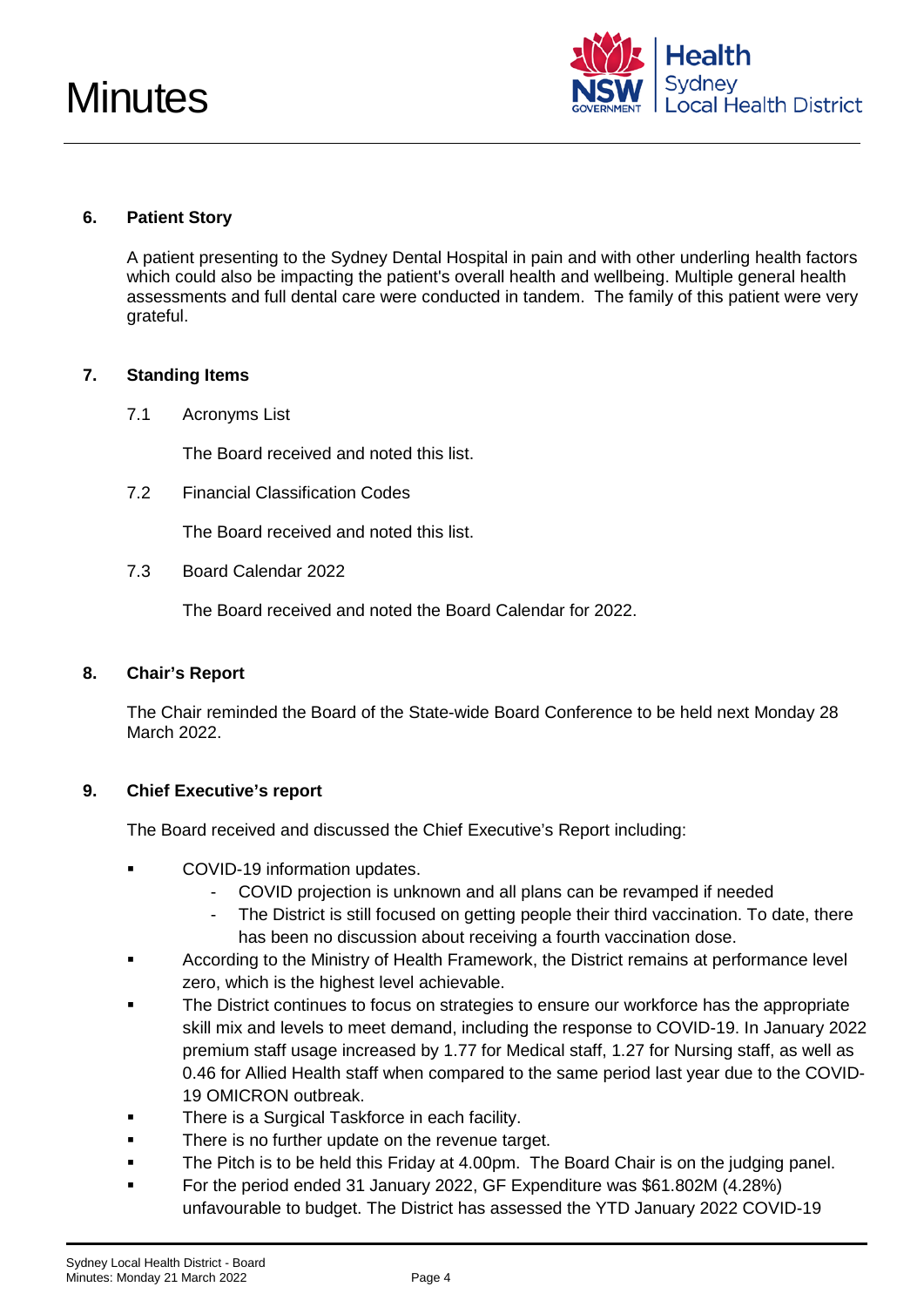

#### **6. Patient Story**

A patient presenting to the Sydney Dental Hospital in pain and with other underling health factors which could also be impacting the patient's overall health and wellbeing. Multiple general health assessments and full dental care were conducted in tandem. The family of this patient were very grateful.

#### **7. Standing Items**

7.1 Acronyms List

The Board received and noted this list.

7.2 Financial Classification Codes

The Board received and noted this list.

7.3 Board Calendar 2022

The Board received and noted the Board Calendar for 2022.

#### **8. Chair's Report**

The Chair reminded the Board of the State-wide Board Conference to be held next Monday 28 March 2022.

#### **9. Chief Executive's report**

The Board received and discussed the Chief Executive's Report including:

- COVID-19 information updates.
	- COVID projection is unknown and all plans can be revamped if needed
	- The District is still focused on getting people their third vaccination. To date, there has been no discussion about receiving a fourth vaccination dose.
- According to the Ministry of Health Framework, the District remains at performance level zero, which is the highest level achievable.
- **The District continues to focus on strategies to ensure our workforce has the appropriate** skill mix and levels to meet demand, including the response to COVID-19. In January 2022 premium staff usage increased by 1.77 for Medical staff, 1.27 for Nursing staff, as well as 0.46 for Allied Health staff when compared to the same period last year due to the COVID-19 OMICRON outbreak.
- **There is a Surgical Taskforce in each facility.**
- **There is no further update on the revenue target.**
- The Pitch is to be held this Friday at 4.00pm. The Board Chair is on the judging panel.
- For the period ended 31 January 2022, GF Expenditure was \$61.802M (4.28%) unfavourable to budget. The District has assessed the YTD January 2022 COVID-19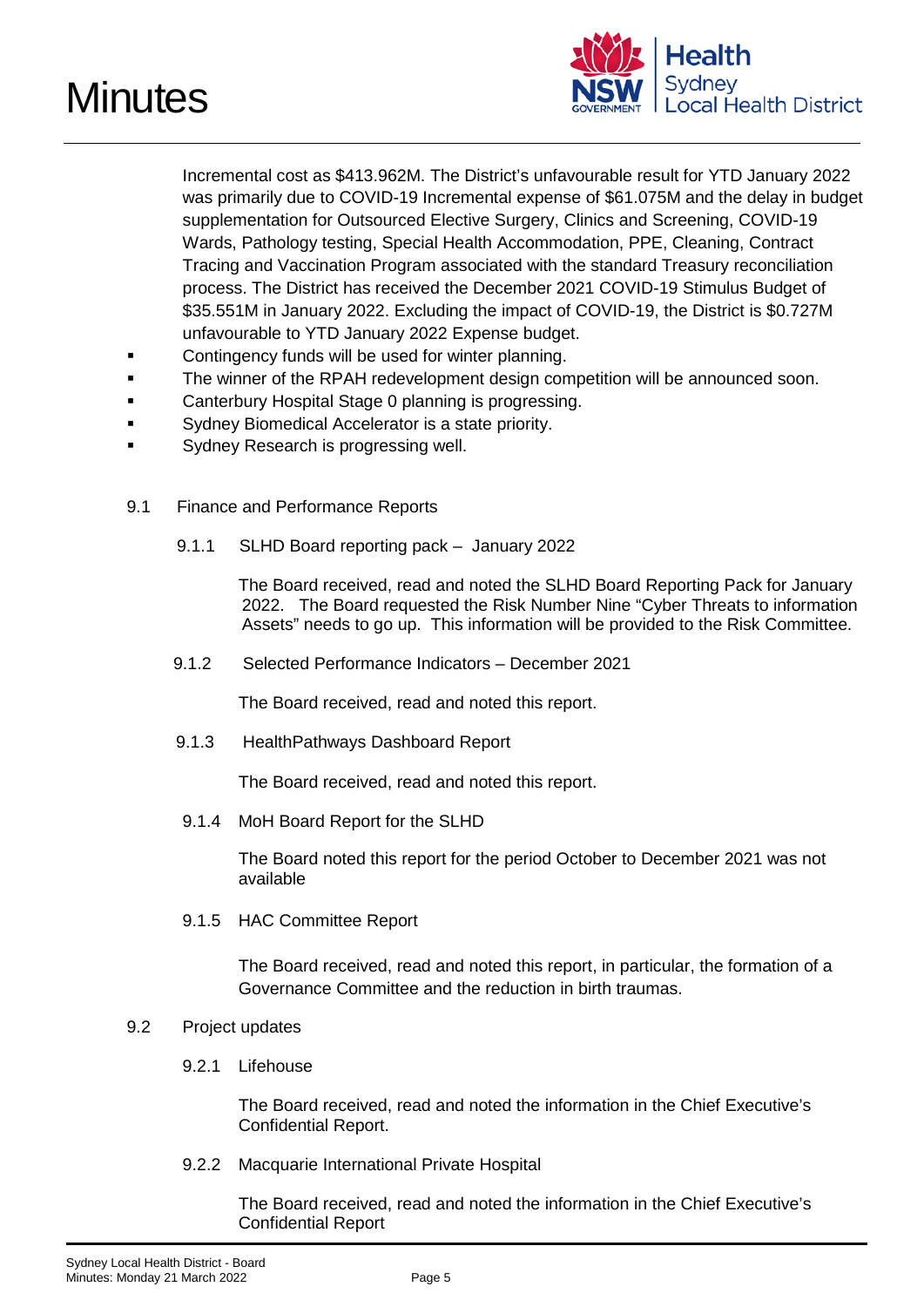



Incremental cost as \$413.962M. The District's unfavourable result for YTD January 2022 was primarily due to COVID-19 Incremental expense of \$61.075M and the delay in budget supplementation for Outsourced Elective Surgery, Clinics and Screening, COVID-19 Wards, Pathology testing, Special Health Accommodation, PPE, Cleaning, Contract Tracing and Vaccination Program associated with the standard Treasury reconciliation process. The District has received the December 2021 COVID-19 Stimulus Budget of \$35.551M in January 2022. Excluding the impact of COVID-19, the District is \$0.727M unfavourable to YTD January 2022 Expense budget.

- **EXECONTERGIVE CONTINGERY FUNDS WILL BE USE** OF WRITER **Planning.**
- **The winner of the RPAH redevelopment design competition will be announced soon.**
- Canterbury Hospital Stage 0 planning is progressing.
- Sydney Biomedical Accelerator is a state priority.
- Sydney Research is progressing well.
- 9.1 Finance and Performance Reports
	- 9.1.1 SLHD Board reporting pack January 2022

The Board received, read and noted the SLHD Board Reporting Pack for January 2022. The Board requested the Risk Number Nine "Cyber Threats to information Assets" needs to go up. This information will be provided to the Risk Committee.

9.1.2 Selected Performance Indicators – December 2021

The Board received, read and noted this report.

9.1.3 HealthPathways Dashboard Report

The Board received, read and noted this report.

9.1.4 MoH Board Report for the SLHD

The Board noted this report for the period October to December 2021 was not available

9.1.5 HAC Committee Report

The Board received, read and noted this report, in particular, the formation of a Governance Committee and the reduction in birth traumas.

#### 9.2 Project updates

9.2.1 Lifehouse

The Board received, read and noted the information in the Chief Executive's Confidential Report.

9.2.2 Macquarie International Private Hospital

The Board received, read and noted the information in the Chief Executive's Confidential Report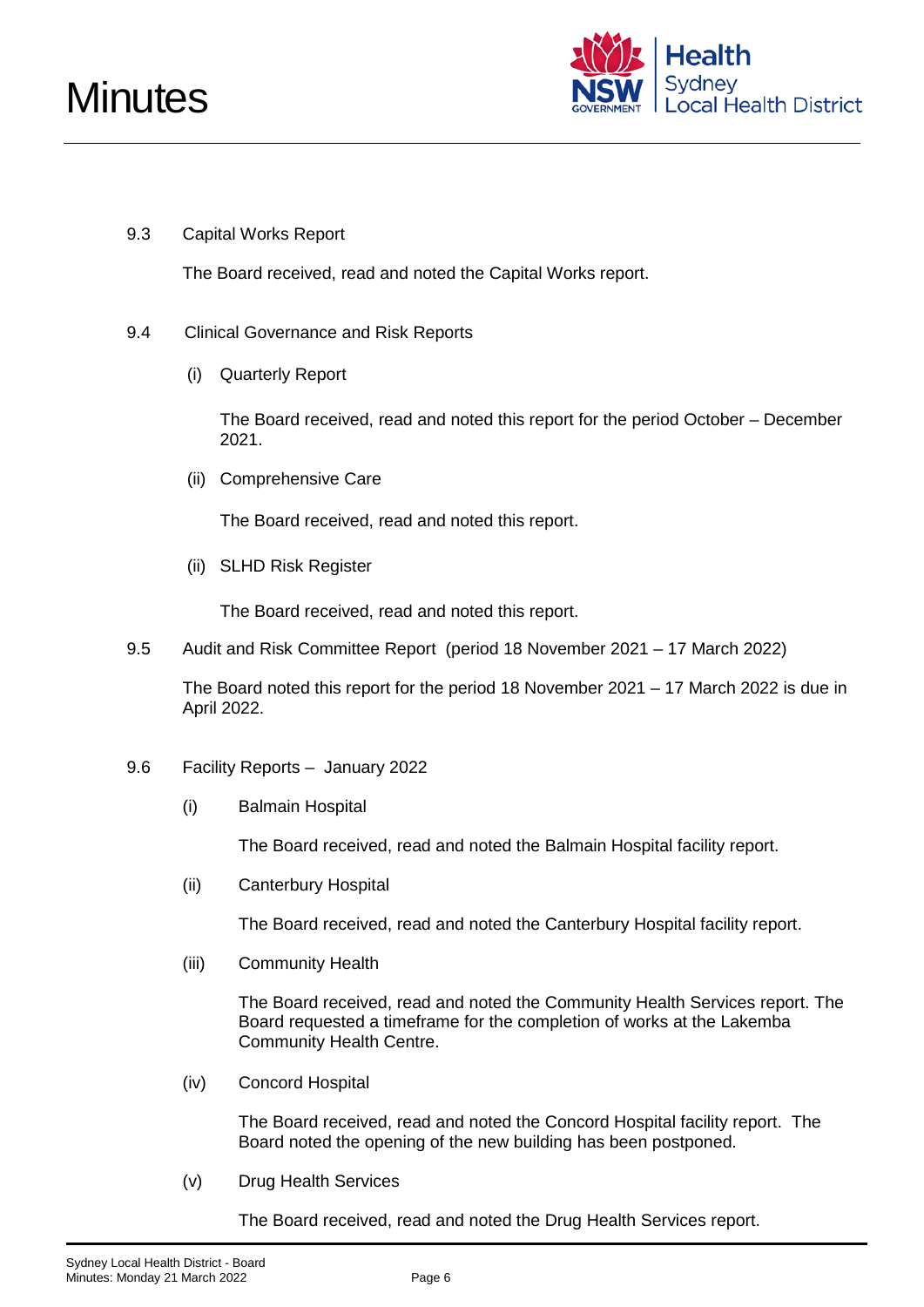

#### 9.3 Capital Works Report

The Board received, read and noted the Capital Works report.

- 9.4 Clinical Governance and Risk Reports
	- (i) Quarterly Report

The Board received, read and noted this report for the period October – December 2021.

(ii) Comprehensive Care

The Board received, read and noted this report.

(ii) SLHD Risk Register

The Board received, read and noted this report.

9.5 Audit and Risk Committee Report (period 18 November 2021 – 17 March 2022)

The Board noted this report for the period 18 November 2021 – 17 March 2022 is due in April 2022.

- 9.6 Facility Reports January 2022
	- (i) Balmain Hospital

The Board received, read and noted the Balmain Hospital facility report.

(ii) Canterbury Hospital

The Board received, read and noted the Canterbury Hospital facility report.

(iii) Community Health

The Board received, read and noted the Community Health Services report. The Board requested a timeframe for the completion of works at the Lakemba Community Health Centre.

(iv) Concord Hospital

The Board received, read and noted the Concord Hospital facility report. The Board noted the opening of the new building has been postponed.

(v) Drug Health Services

The Board received, read and noted the Drug Health Services report.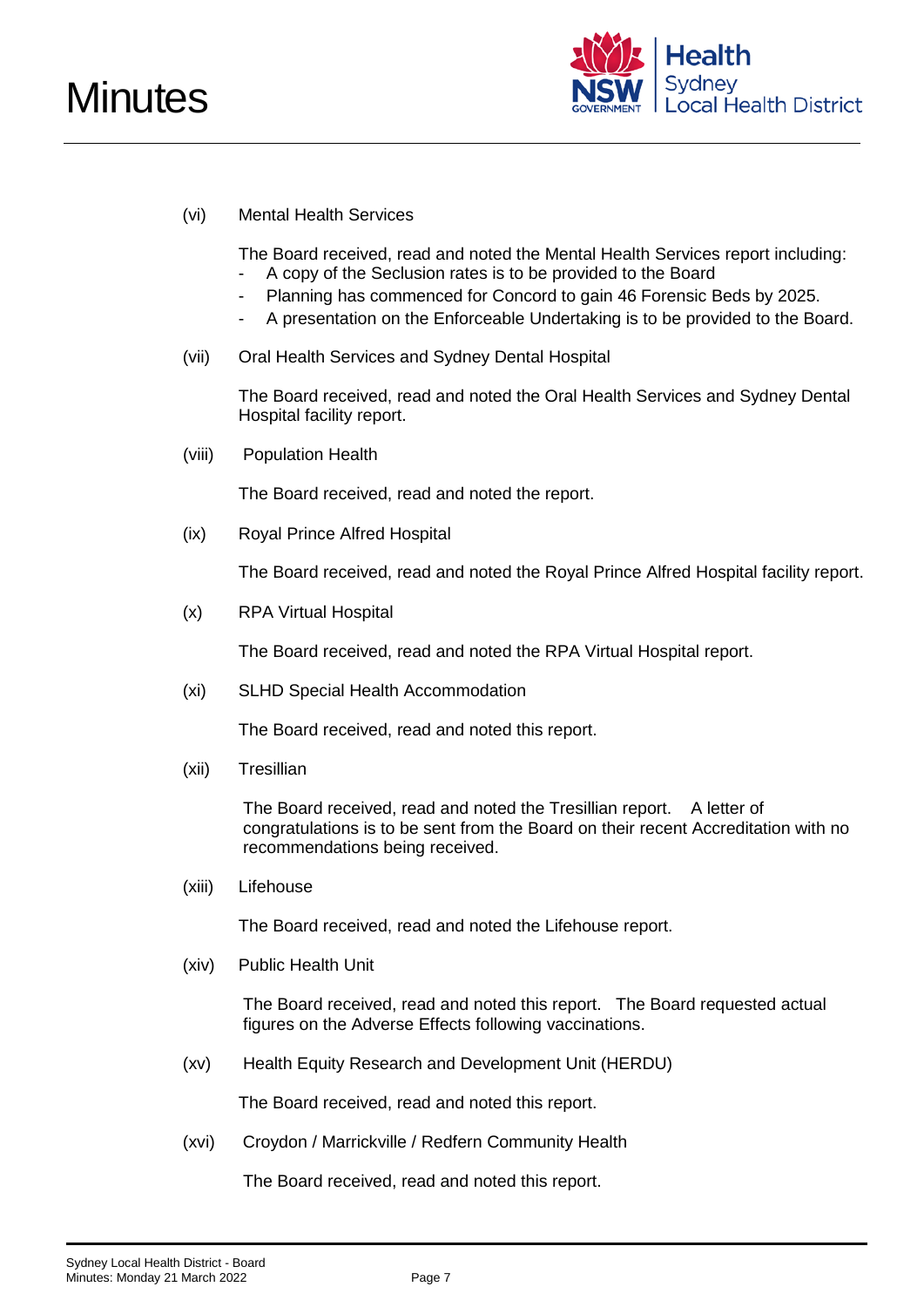

#### (vi) Mental Health Services

The Board received, read and noted the Mental Health Services report including:

- A copy of the Seclusion rates is to be provided to the Board
- Planning has commenced for Concord to gain 46 Forensic Beds by 2025.
- A presentation on the Enforceable Undertaking is to be provided to the Board.
- (vii) Oral Health Services and Sydney Dental Hospital

The Board received, read and noted the Oral Health Services and Sydney Dental Hospital facility report.

(viii) Population Health

The Board received, read and noted the report.

(ix) Royal Prince Alfred Hospital

The Board received, read and noted the Royal Prince Alfred Hospital facility report.

(x) RPA Virtual Hospital

The Board received, read and noted the RPA Virtual Hospital report.

(xi) SLHD Special Health Accommodation

The Board received, read and noted this report.

(xii) Tresillian

The Board received, read and noted the Tresillian report. A letter of congratulations is to be sent from the Board on their recent Accreditation with no recommendations being received.

(xiii) Lifehouse

The Board received, read and noted the Lifehouse report.

(xiv) Public Health Unit

The Board received, read and noted this report. The Board requested actual figures on the Adverse Effects following vaccinations.

(xv) Health Equity Research and Development Unit (HERDU)

The Board received, read and noted this report.

(xvi) Croydon / Marrickville / Redfern Community Health

The Board received, read and noted this report.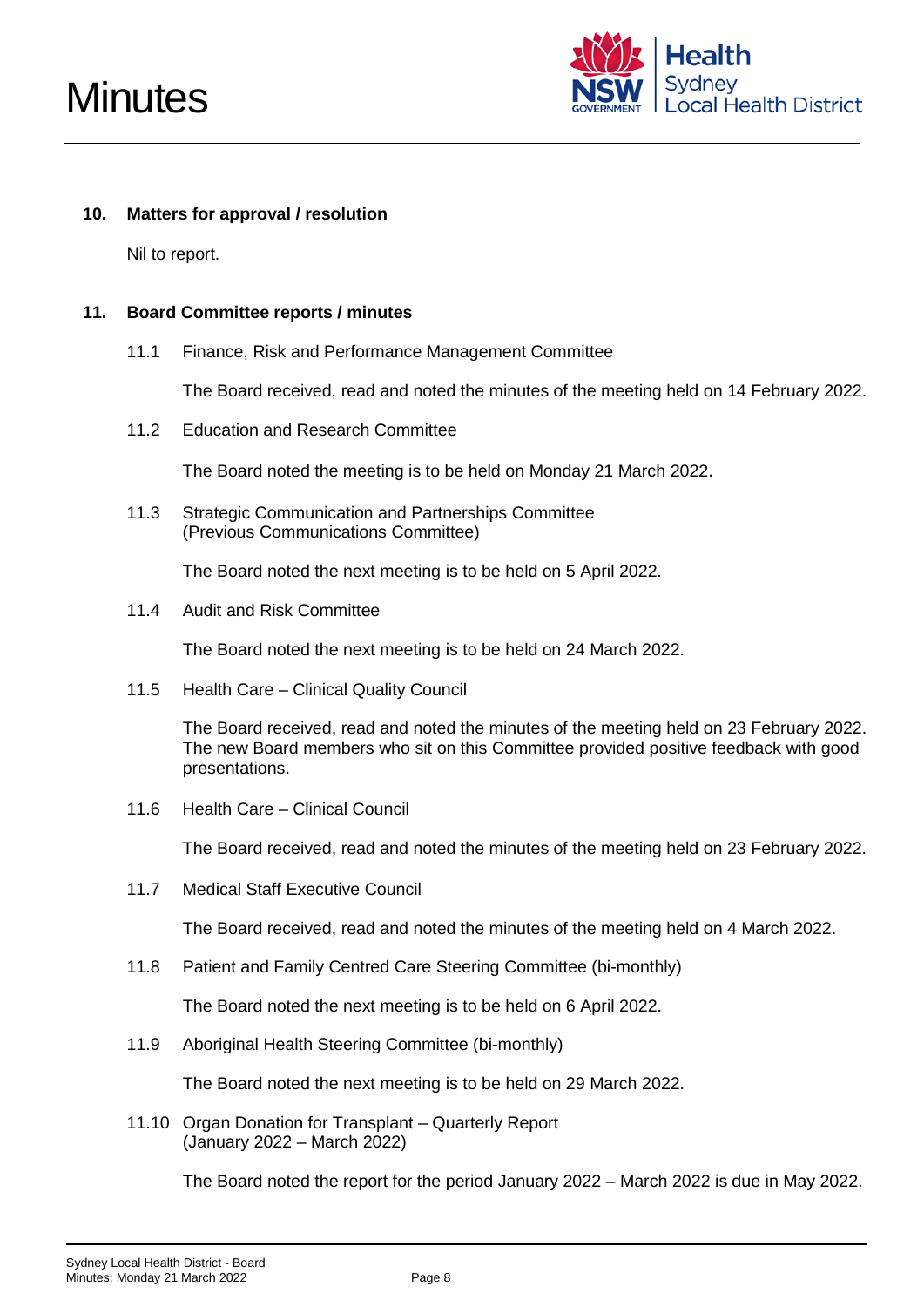

#### **10. Matters for approval / resolution**

Nil to report.

#### **11. Board Committee reports / minutes**

11.1 Finance, Risk and Performance Management Committee

The Board received, read and noted the minutes of the meeting held on 14 February 2022.

11.2 Education and Research Committee

The Board noted the meeting is to be held on Monday 21 March 2022.

11.3 Strategic Communication and Partnerships Committee (Previous Communications Committee)

The Board noted the next meeting is to be held on 5 April 2022.

11.4 Audit and Risk Committee

The Board noted the next meeting is to be held on 24 March 2022.

11.5 Health Care – Clinical Quality Council

The Board received, read and noted the minutes of the meeting held on 23 February 2022. The new Board members who sit on this Committee provided positive feedback with good presentations.

11.6 Health Care – Clinical Council

The Board received, read and noted the minutes of the meeting held on 23 February 2022.

11.7 Medical Staff Executive Council

The Board received, read and noted the minutes of the meeting held on 4 March 2022.

11.8 Patient and Family Centred Care Steering Committee (bi-monthly)

The Board noted the next meeting is to be held on 6 April 2022.

11.9 Aboriginal Health Steering Committee (bi-monthly)

The Board noted the next meeting is to be held on 29 March 2022.

11.10 Organ Donation for Transplant – Quarterly Report (January 2022 – March 2022)

The Board noted the report for the period January 2022 – March 2022 is due in May 2022.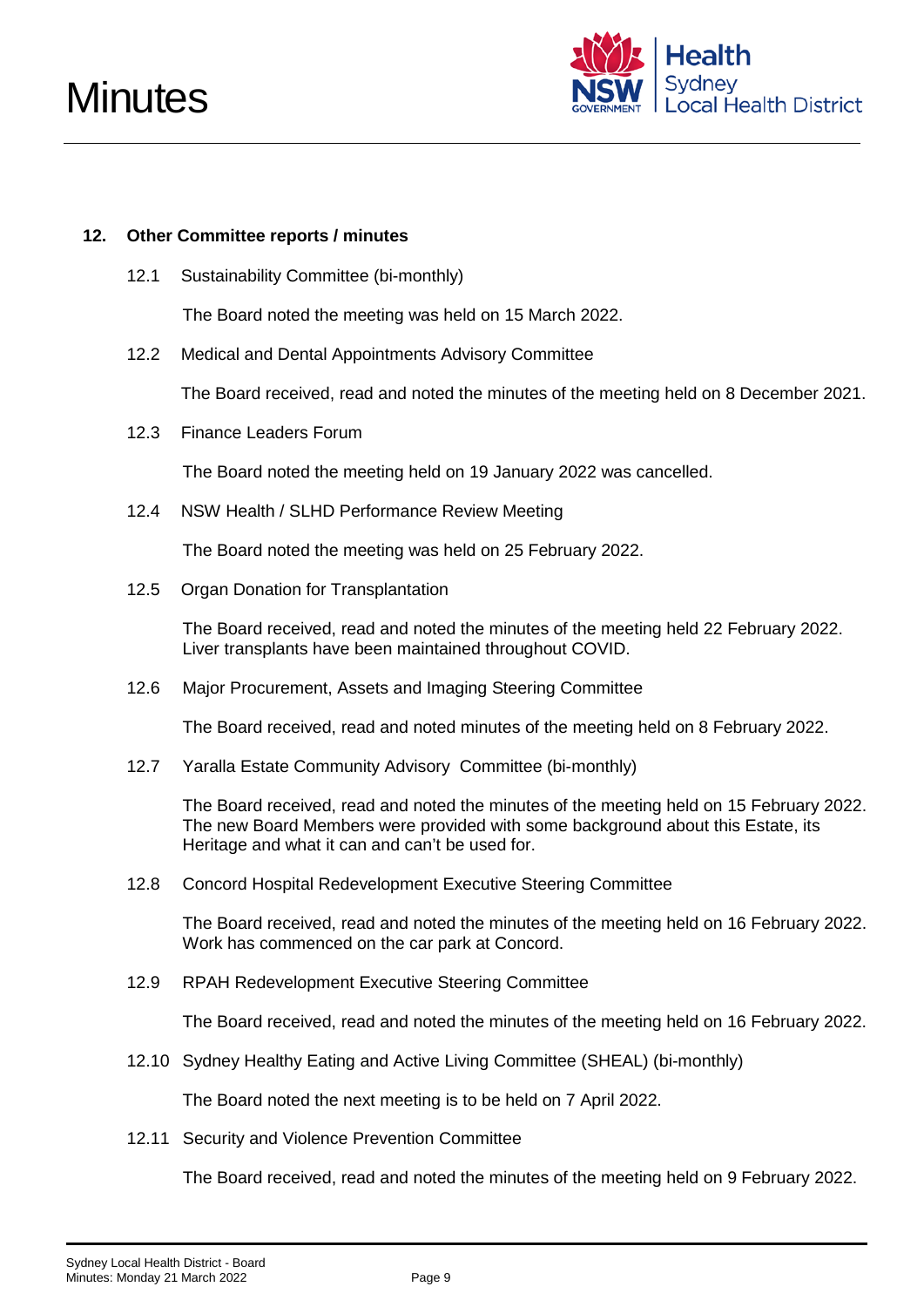

#### **12. Other Committee reports / minutes**

12.1 Sustainability Committee (bi-monthly)

The Board noted the meeting was held on 15 March 2022.

12.2 Medical and Dental Appointments Advisory Committee

The Board received, read and noted the minutes of the meeting held on 8 December 2021.

12.3 Finance Leaders Forum

The Board noted the meeting held on 19 January 2022 was cancelled.

12.4 NSW Health / SLHD Performance Review Meeting

The Board noted the meeting was held on 25 February 2022.

12.5 Organ Donation for Transplantation

The Board received, read and noted the minutes of the meeting held 22 February 2022. Liver transplants have been maintained throughout COVID.

12.6 Major Procurement, Assets and Imaging Steering Committee

The Board received, read and noted minutes of the meeting held on 8 February 2022.

12.7 Yaralla Estate Community Advisory Committee (bi-monthly)

The Board received, read and noted the minutes of the meeting held on 15 February 2022. The new Board Members were provided with some background about this Estate, its Heritage and what it can and can't be used for.

12.8 Concord Hospital Redevelopment Executive Steering Committee

The Board received, read and noted the minutes of the meeting held on 16 February 2022. Work has commenced on the car park at Concord.

12.9 RPAH Redevelopment Executive Steering Committee

The Board received, read and noted the minutes of the meeting held on 16 February 2022.

12.10 Sydney Healthy Eating and Active Living Committee (SHEAL) (bi-monthly)

The Board noted the next meeting is to be held on 7 April 2022.

12.11 Security and Violence Prevention Committee

The Board received, read and noted the minutes of the meeting held on 9 February 2022.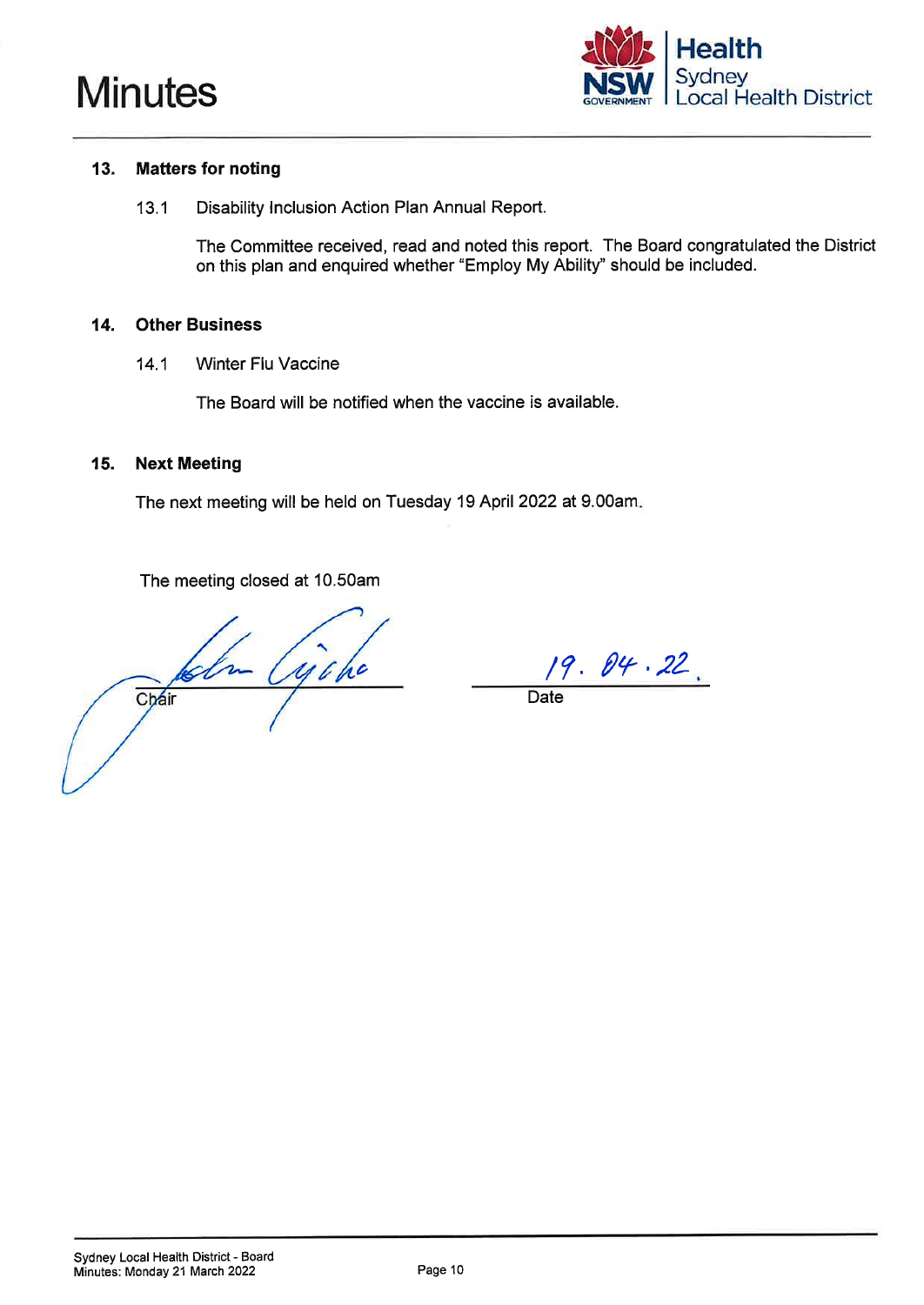



#### 13. **Matters for noting**

Disability Inclusion Action Plan Annual Report.  $13.1$ 

> The Committee received, read and noted this report. The Board congratulated the District on this plan and enquired whether "Employ My Ability" should be included.

#### **Other Business** 14.

**Winter Flu Vaccine**  $14.1$ 

The Board will be notified when the vaccine is available.

#### 15. **Next Meeting**

The next meeting will be held on Tuesday 19 April 2022 at 9.00am.

The meeting closed at 10.50am

Kolm Cijoho Chair

 $19.04.22.$ 

Date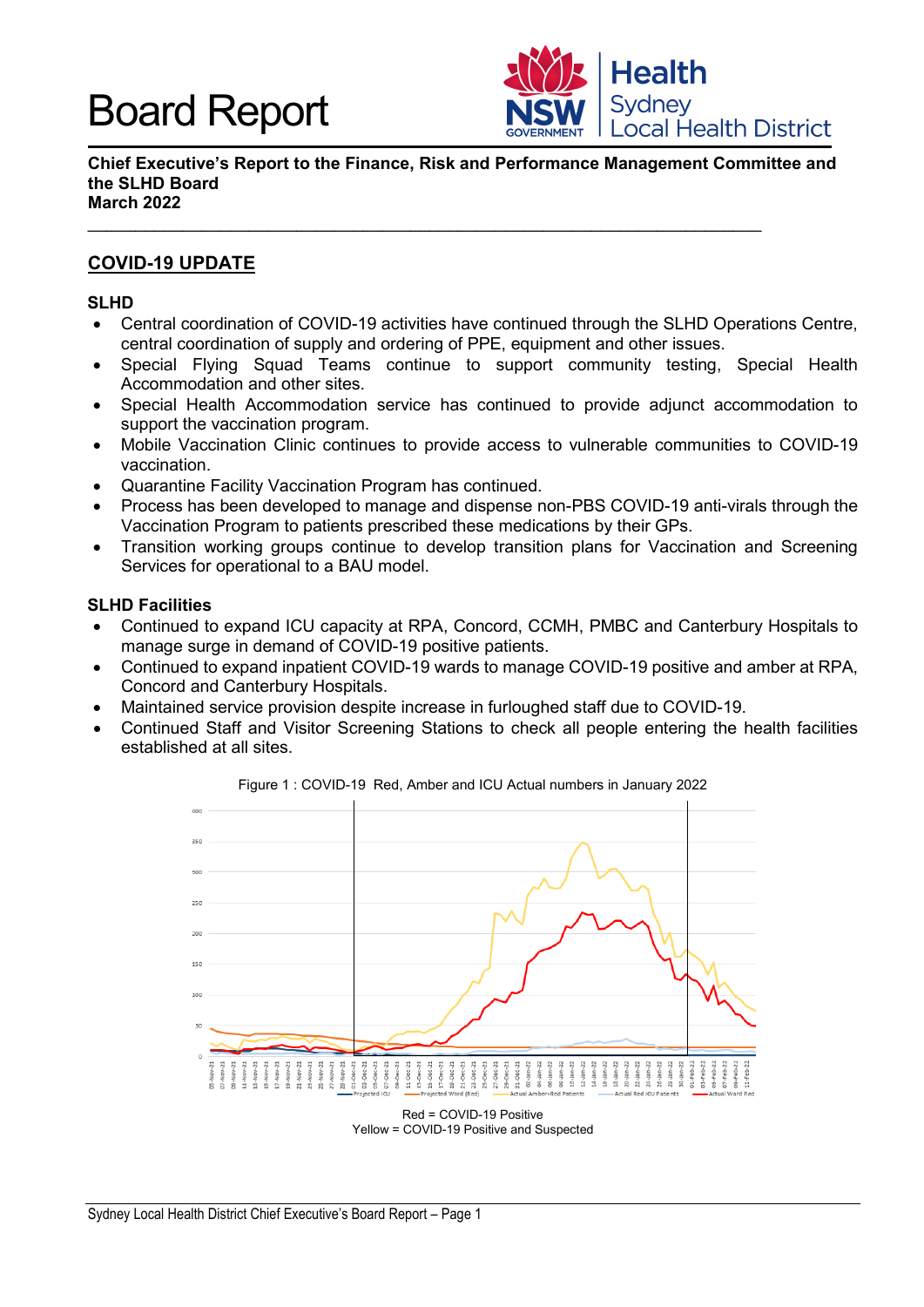

**Chief Executive's Report to the Finance, Risk and Performance Management Committee and the SLHD Board March 2022**

 $\_$  , and the set of the set of the set of the set of the set of the set of the set of the set of the set of the set of the set of the set of the set of the set of the set of the set of the set of the set of the set of th

### **COVID-19 UPDATE**

#### **SLHD**

- Central coordination of COVID-19 activities have continued through the SLHD Operations Centre, central coordination of supply and ordering of PPE, equipment and other issues.
- Special Flying Squad Teams continue to support community testing, Special Health Accommodation and other sites.
- Special Health Accommodation service has continued to provide adjunct accommodation to support the vaccination program.
- Mobile Vaccination Clinic continues to provide access to vulnerable communities to COVID-19 vaccination.
- Quarantine Facility Vaccination Program has continued.
- Process has been developed to manage and dispense non-PBS COVID-19 anti-virals through the Vaccination Program to patients prescribed these medications by their GPs.
- Transition working groups continue to develop transition plans for Vaccination and Screening Services for operational to a BAU model.

#### **SLHD Facilities**

- Continued to expand ICU capacity at RPA, Concord, CCMH, PMBC and Canterbury Hospitals to manage surge in demand of COVID-19 positive patients.
- Continued to expand inpatient COVID-19 wards to manage COVID-19 positive and amber at RPA, Concord and Canterbury Hospitals.
- Maintained service provision despite increase in furloughed staff due to COVID-19.
- Continued Staff and Visitor Screening Stations to check all people entering the health facilities established at all sites.



Figure 1 : COVID-19 Red, Amber and ICU Actual numbers in January 2022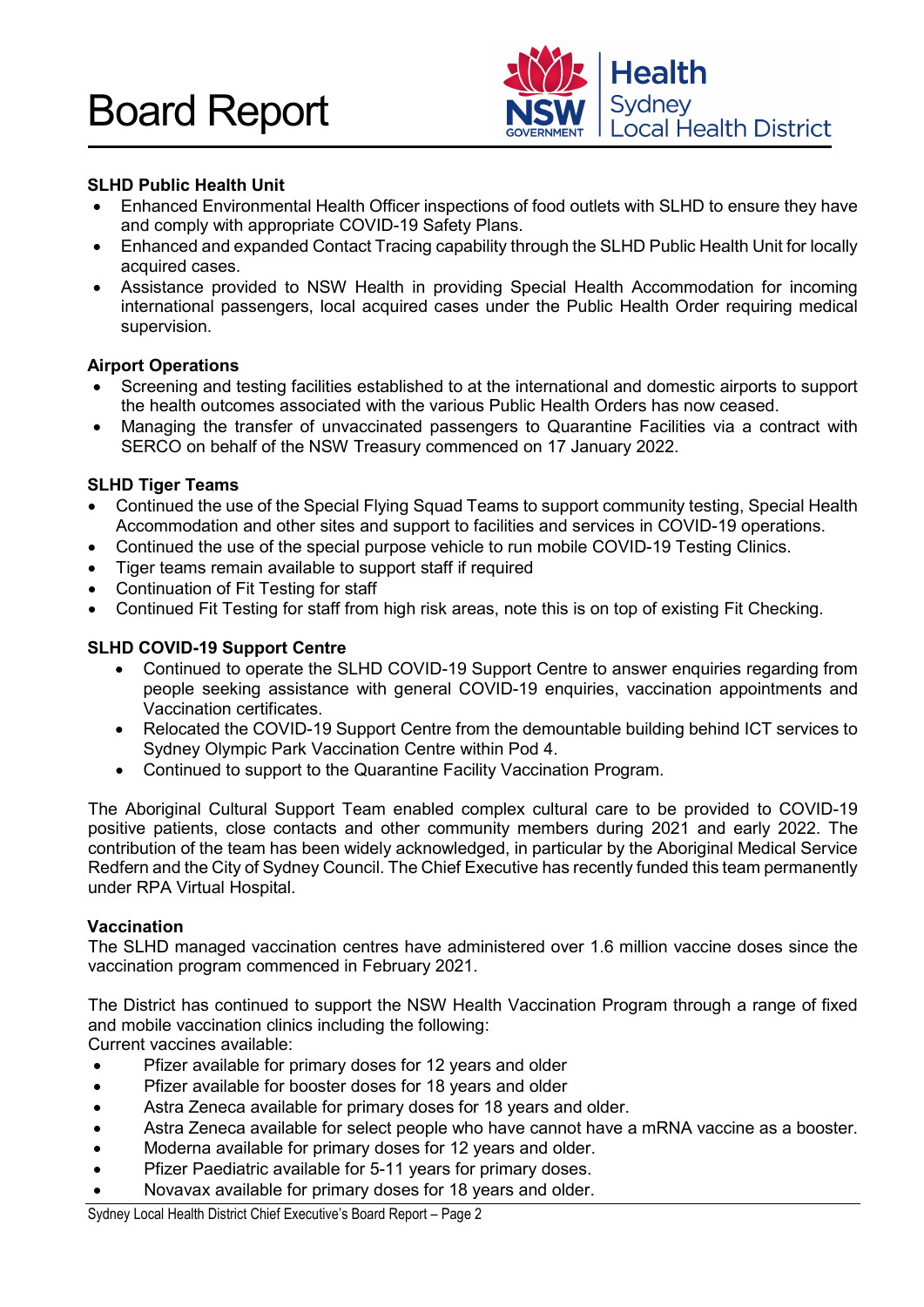

#### **SLHD Public Health Unit**

- Enhanced Environmental Health Officer inspections of food outlets with SLHD to ensure they have and comply with appropriate COVID-19 Safety Plans.
- Enhanced and expanded Contact Tracing capability through the SLHD Public Health Unit for locally acquired cases.
- Assistance provided to NSW Health in providing Special Health Accommodation for incoming international passengers, local acquired cases under the Public Health Order requiring medical supervision.

#### **Airport Operations**

- Screening and testing facilities established to at the international and domestic airports to support the health outcomes associated with the various Public Health Orders has now ceased.
- Managing the transfer of unvaccinated passengers to Quarantine Facilities via a contract with SERCO on behalf of the NSW Treasury commenced on 17 January 2022.

#### **SLHD Tiger Teams**

- Continued the use of the Special Flying Squad Teams to support community testing, Special Health Accommodation and other sites and support to facilities and services in COVID-19 operations.
- Continued the use of the special purpose vehicle to run mobile COVID-19 Testing Clinics.
- Tiger teams remain available to support staff if required
- Continuation of Fit Testing for staff
- Continued Fit Testing for staff from high risk areas, note this is on top of existing Fit Checking.

#### **SLHD COVID-19 Support Centre**

- Continued to operate the SLHD COVID-19 Support Centre to answer enquiries regarding from people seeking assistance with general COVID-19 enquiries, vaccination appointments and Vaccination certificates.
- Relocated the COVID-19 Support Centre from the demountable building behind ICT services to Sydney Olympic Park Vaccination Centre within Pod 4.
- Continued to support to the Quarantine Facility Vaccination Program.

The Aboriginal Cultural Support Team enabled complex cultural care to be provided to COVID-19 positive patients, close contacts and other community members during 2021 and early 2022. The contribution of the team has been widely acknowledged, in particular by the Aboriginal Medical Service Redfern and the City of Sydney Council. The Chief Executive has recently funded this team permanently under RPA Virtual Hospital.

#### **Vaccination**

The SLHD managed vaccination centres have administered over 1.6 million vaccine doses since the vaccination program commenced in February 2021.

The District has continued to support the NSW Health Vaccination Program through a range of fixed and mobile vaccination clinics including the following:

Current vaccines available:

- Pfizer available for primary doses for 12 years and older
- Pfizer available for booster doses for 18 years and older
- Astra Zeneca available for primary doses for 18 years and older.
- Astra Zeneca available for select people who have cannot have a mRNA vaccine as a booster.
- Moderna available for primary doses for 12 years and older.
- Pfizer Paediatric available for 5-11 years for primary doses.
- Novavax available for primary doses for 18 years and older.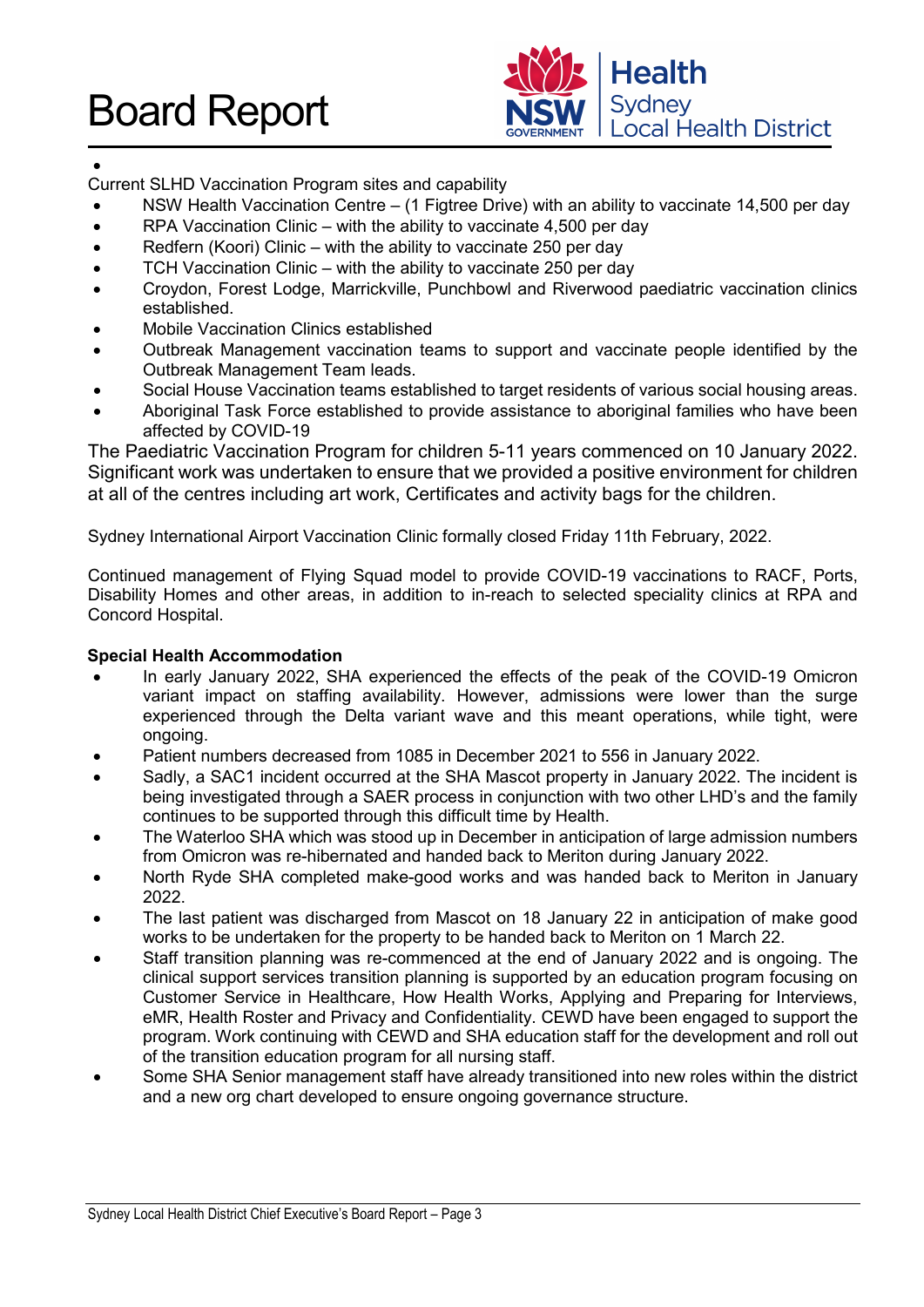

#### •

Current SLHD Vaccination Program sites and capability

- NSW Health Vaccination Centre (1 Figtree Drive) with an ability to vaccinate 14,500 per day
- RPA Vaccination Clinic with the ability to vaccinate 4,500 per day
- Redfern (Koori) Clinic with the ability to vaccinate 250 per day
- TCH Vaccination Clinic with the ability to vaccinate 250 per day
- Croydon, Forest Lodge, Marrickville, Punchbowl and Riverwood paediatric vaccination clinics established.
- Mobile Vaccination Clinics established
- Outbreak Management vaccination teams to support and vaccinate people identified by the Outbreak Management Team leads.
- Social House Vaccination teams established to target residents of various social housing areas.
- Aboriginal Task Force established to provide assistance to aboriginal families who have been affected by COVID-19

The Paediatric Vaccination Program for children 5-11 years commenced on 10 January 2022. Significant work was undertaken to ensure that we provided a positive environment for children at all of the centres including art work, Certificates and activity bags for the children.

Sydney International Airport Vaccination Clinic formally closed Friday 11th February, 2022.

Continued management of Flying Squad model to provide COVID-19 vaccinations to RACF, Ports, Disability Homes and other areas, in addition to in-reach to selected speciality clinics at RPA and Concord Hospital.

#### **Special Health Accommodation**

- In early January 2022, SHA experienced the effects of the peak of the COVID-19 Omicron variant impact on staffing availability. However, admissions were lower than the surge experienced through the Delta variant wave and this meant operations, while tight, were ongoing.
- Patient numbers decreased from 1085 in December 2021 to 556 in January 2022.
- Sadly, a SAC1 incident occurred at the SHA Mascot property in January 2022. The incident is being investigated through a SAER process in conjunction with two other LHD's and the family continues to be supported through this difficult time by Health.
- The Waterloo SHA which was stood up in December in anticipation of large admission numbers from Omicron was re-hibernated and handed back to Meriton during January 2022.
- North Ryde SHA completed make-good works and was handed back to Meriton in January 2022.
- The last patient was discharged from Mascot on 18 January 22 in anticipation of make good works to be undertaken for the property to be handed back to Meriton on 1 March 22.
- Staff transition planning was re-commenced at the end of January 2022 and is ongoing. The clinical support services transition planning is supported by an education program focusing on Customer Service in Healthcare, How Health Works, Applying and Preparing for Interviews, eMR, Health Roster and Privacy and Confidentiality. CEWD have been engaged to support the program. Work continuing with CEWD and SHA education staff for the development and roll out of the transition education program for all nursing staff.
- Some SHA Senior management staff have already transitioned into new roles within the district and a new org chart developed to ensure ongoing governance structure.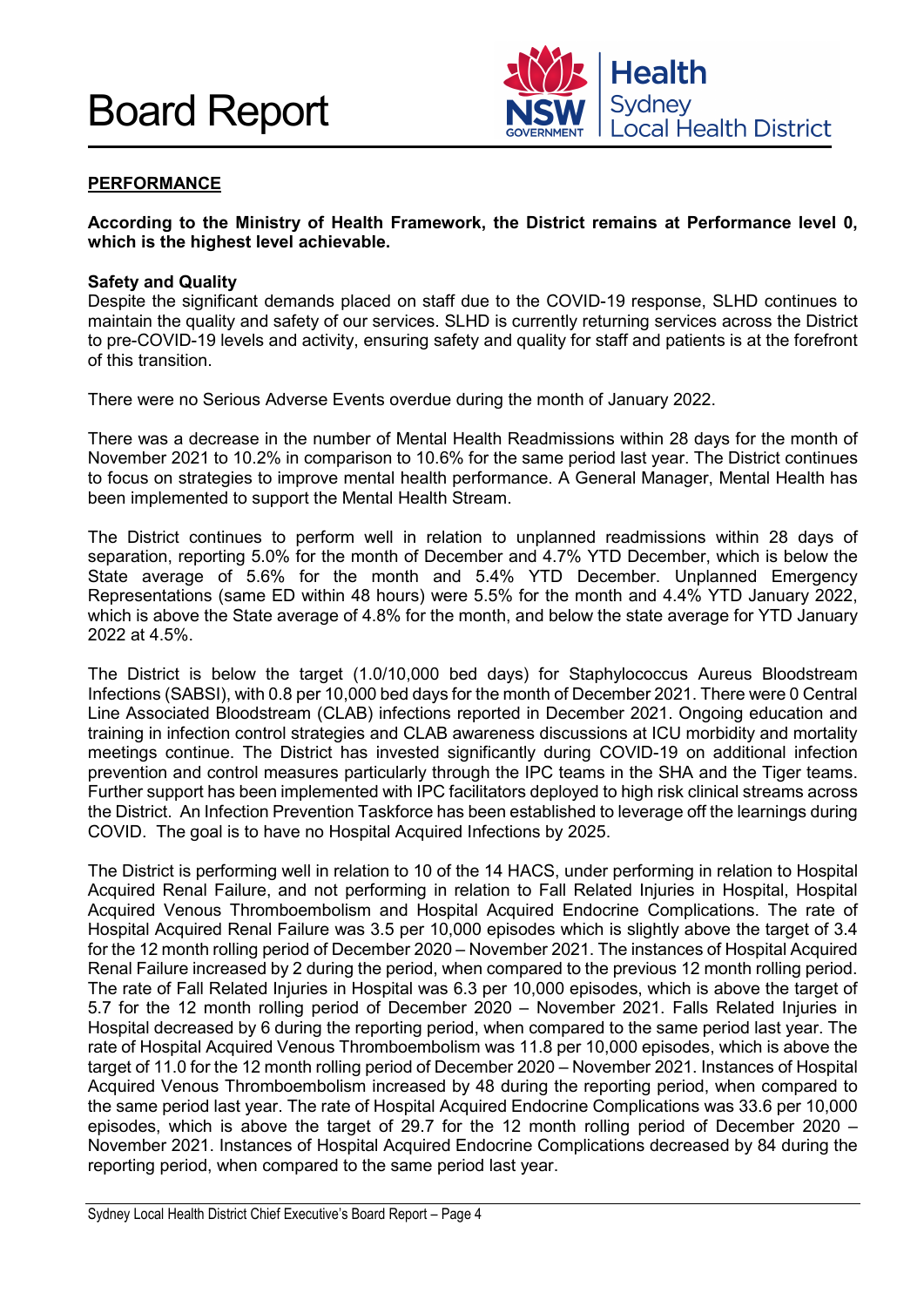

#### **PERFORMANCE**

#### **According to the Ministry of Health Framework, the District remains at Performance level 0, which is the highest level achievable.**

#### **Safety and Quality**

Despite the significant demands placed on staff due to the COVID-19 response, SLHD continues to maintain the quality and safety of our services. SLHD is currently returning services across the District to pre-COVID-19 levels and activity, ensuring safety and quality for staff and patients is at the forefront of this transition.

There were no Serious Adverse Events overdue during the month of January 2022.

There was a decrease in the number of Mental Health Readmissions within 28 days for the month of November 2021 to 10.2% in comparison to 10.6% for the same period last year. The District continues to focus on strategies to improve mental health performance. A General Manager, Mental Health has been implemented to support the Mental Health Stream.

The District continues to perform well in relation to unplanned readmissions within 28 days of separation, reporting 5.0% for the month of December and 4.7% YTD December, which is below the State average of 5.6% for the month and 5.4% YTD December. Unplanned Emergency Representations (same ED within 48 hours) were 5.5% for the month and 4.4% YTD January 2022, which is above the State average of 4.8% for the month, and below the state average for YTD January 2022 at 4.5%.

The District is below the target (1.0/10,000 bed days) for Staphylococcus Aureus Bloodstream Infections (SABSI), with 0.8 per 10,000 bed days for the month of December 2021. There were 0 Central Line Associated Bloodstream (CLAB) infections reported in December 2021. Ongoing education and training in infection control strategies and CLAB awareness discussions at ICU morbidity and mortality meetings continue. The District has invested significantly during COVID-19 on additional infection prevention and control measures particularly through the IPC teams in the SHA and the Tiger teams. Further support has been implemented with IPC facilitators deployed to high risk clinical streams across the District. An Infection Prevention Taskforce has been established to leverage off the learnings during COVID. The goal is to have no Hospital Acquired Infections by 2025.

The District is performing well in relation to 10 of the 14 HACS, under performing in relation to Hospital Acquired Renal Failure, and not performing in relation to Fall Related Injuries in Hospital, Hospital Acquired Venous Thromboembolism and Hospital Acquired Endocrine Complications. The rate of Hospital Acquired Renal Failure was 3.5 per 10,000 episodes which is slightly above the target of 3.4 for the 12 month rolling period of December 2020 – November 2021. The instances of Hospital Acquired Renal Failure increased by 2 during the period, when compared to the previous 12 month rolling period. The rate of Fall Related Injuries in Hospital was 6.3 per 10,000 episodes, which is above the target of 5.7 for the 12 month rolling period of December 2020 – November 2021. Falls Related Injuries in Hospital decreased by 6 during the reporting period, when compared to the same period last year. The rate of Hospital Acquired Venous Thromboembolism was 11.8 per 10,000 episodes, which is above the target of 11.0 for the 12 month rolling period of December 2020 – November 2021. Instances of Hospital Acquired Venous Thromboembolism increased by 48 during the reporting period, when compared to the same period last year. The rate of Hospital Acquired Endocrine Complications was 33.6 per 10,000 episodes, which is above the target of 29.7 for the 12 month rolling period of December 2020 – November 2021. Instances of Hospital Acquired Endocrine Complications decreased by 84 during the reporting period, when compared to the same period last year.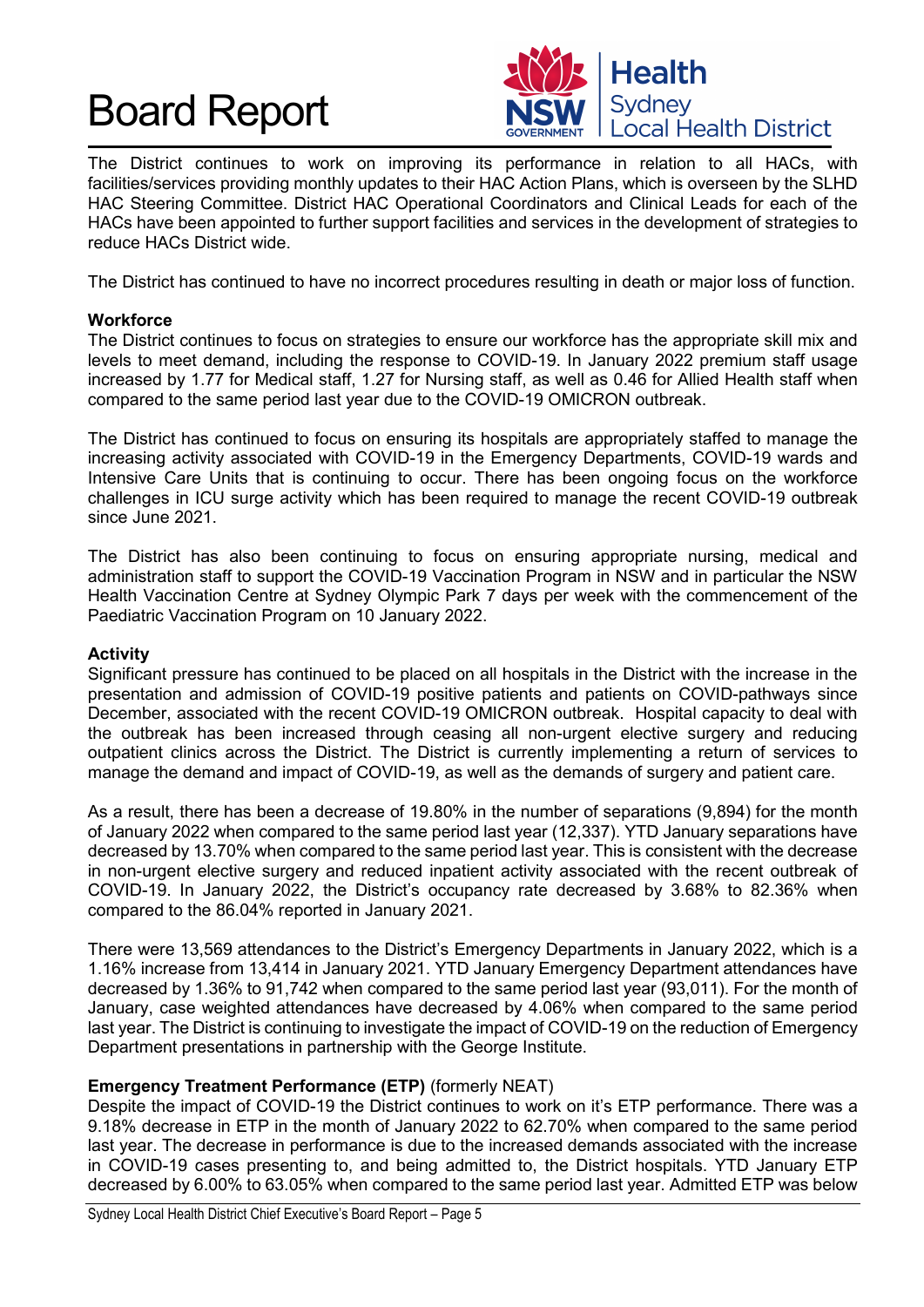

The District continues to work on improving its performance in relation to all HACs, with facilities/services providing monthly updates to their HAC Action Plans, which is overseen by the SLHD HAC Steering Committee. District HAC Operational Coordinators and Clinical Leads for each of the HACs have been appointed to further support facilities and services in the development of strategies to reduce HACs District wide.

The District has continued to have no incorrect procedures resulting in death or major loss of function.

#### **Workforce**

The District continues to focus on strategies to ensure our workforce has the appropriate skill mix and levels to meet demand, including the response to COVID-19. In January 2022 premium staff usage increased by 1.77 for Medical staff, 1.27 for Nursing staff, as well as 0.46 for Allied Health staff when compared to the same period last year due to the COVID-19 OMICRON outbreak.

The District has continued to focus on ensuring its hospitals are appropriately staffed to manage the increasing activity associated with COVID-19 in the Emergency Departments, COVID-19 wards and Intensive Care Units that is continuing to occur. There has been ongoing focus on the workforce challenges in ICU surge activity which has been required to manage the recent COVID-19 outbreak since June 2021.

The District has also been continuing to focus on ensuring appropriate nursing, medical and administration staff to support the COVID-19 Vaccination Program in NSW and in particular the NSW Health Vaccination Centre at Sydney Olympic Park 7 days per week with the commencement of the Paediatric Vaccination Program on 10 January 2022.

#### **Activity**

Significant pressure has continued to be placed on all hospitals in the District with the increase in the presentation and admission of COVID-19 positive patients and patients on COVID-pathways since December, associated with the recent COVID-19 OMICRON outbreak. Hospital capacity to deal with the outbreak has been increased through ceasing all non-urgent elective surgery and reducing outpatient clinics across the District. The District is currently implementing a return of services to manage the demand and impact of COVID-19, as well as the demands of surgery and patient care.

As a result, there has been a decrease of 19.80% in the number of separations (9,894) for the month of January 2022 when compared to the same period last year (12,337). YTD January separations have decreased by 13.70% when compared to the same period last year. This is consistent with the decrease in non-urgent elective surgery and reduced inpatient activity associated with the recent outbreak of COVID-19. In January 2022, the District's occupancy rate decreased by 3.68% to 82.36% when compared to the 86.04% reported in January 2021.

There were 13,569 attendances to the District's Emergency Departments in January 2022, which is a 1.16% increase from 13,414 in January 2021. YTD January Emergency Department attendances have decreased by 1.36% to 91,742 when compared to the same period last year (93,011). For the month of January, case weighted attendances have decreased by 4.06% when compared to the same period last year. The District is continuing to investigate the impact of COVID-19 on the reduction of Emergency Department presentations in partnership with the George Institute.

#### **Emergency Treatment Performance (ETP)** (formerly NEAT)

Despite the impact of COVID-19 the District continues to work on it's ETP performance. There was a 9.18% decrease in ETP in the month of January 2022 to 62.70% when compared to the same period last year. The decrease in performance is due to the increased demands associated with the increase in COVID-19 cases presenting to, and being admitted to, the District hospitals. YTD January ETP decreased by 6.00% to 63.05% when compared to the same period last year. Admitted ETP was below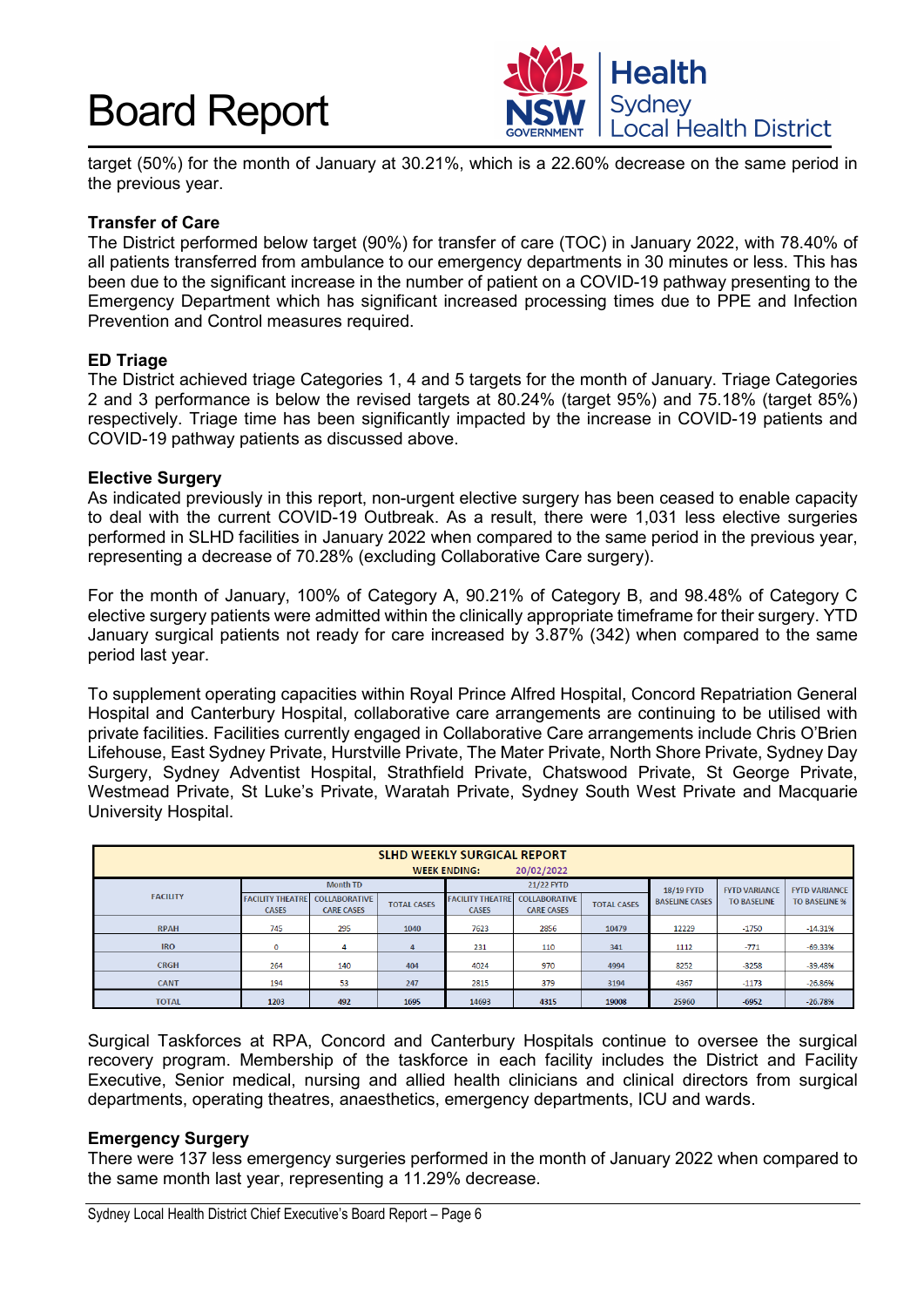

target (50%) for the month of January at 30.21%, which is a 22.60% decrease on the same period in the previous year.

#### **Transfer of Care**

The District performed below target (90%) for transfer of care (TOC) in January 2022, with 78.40% of all patients transferred from ambulance to our emergency departments in 30 minutes or less. This has been due to the significant increase in the number of patient on a COVID-19 pathway presenting to the Emergency Department which has significant increased processing times due to PPE and Infection Prevention and Control measures required.

#### **ED Triage**

The District achieved triage Categories 1, 4 and 5 targets for the month of January. Triage Categories 2 and 3 performance is below the revised targets at 80.24% (target 95%) and 75.18% (target 85%) respectively. Triage time has been significantly impacted by the increase in COVID-19 patients and COVID-19 pathway patients as discussed above.

#### **Elective Surgery**

As indicated previously in this report, non-urgent elective surgery has been ceased to enable capacity to deal with the current COVID-19 Outbreak. As a result, there were 1,031 less elective surgeries performed in SLHD facilities in January 2022 when compared to the same period in the previous year, representing a decrease of 70.28% (excluding Collaborative Care surgery).

For the month of January, 100% of Category A, 90.21% of Category B, and 98.48% of Category C elective surgery patients were admitted within the clinically appropriate timeframe for their surgery. YTD January surgical patients not ready for care increased by 3.87% (342) when compared to the same period last year.

To supplement operating capacities within Royal Prince Alfred Hospital, Concord Repatriation General Hospital and Canterbury Hospital, collaborative care arrangements are continuing to be utilised with private facilities. Facilities currently engaged in Collaborative Care arrangements include Chris O'Brien Lifehouse, East Sydney Private, Hurstville Private, The Mater Private, North Shore Private, Sydney Day Surgery, Sydney Adventist Hospital, Strathfield Private, Chatswood Private, St George Private, Westmead Private, St Luke's Private, Waratah Private, Sydney South West Private and Macquarie University Hospital.

| <b>SLHD WEEKLY SURGICAL REPORT</b><br>20/02/2022<br><b>WEEK ENDING:</b> |                                         |                                           |                    |                                         |                                           |                    |                       |                      |                      |
|-------------------------------------------------------------------------|-----------------------------------------|-------------------------------------------|--------------------|-----------------------------------------|-------------------------------------------|--------------------|-----------------------|----------------------|----------------------|
| <b>Month TD</b><br>21/22 FYTD                                           |                                         |                                           |                    |                                         |                                           | 18/19 FYTD         | <b>FYTD VARIANCE</b>  | <b>FYTD VARIANCE</b> |                      |
| <b>FACILITY</b>                                                         | <b>FACILITY THEATRE</b><br><b>CASES</b> | <b>COLLABORATIVE</b><br><b>CARE CASES</b> | <b>TOTAL CASES</b> | <b>FACILITY THEATRE</b><br><b>CASES</b> | <b>COLLABORATIVE</b><br><b>CARE CASES</b> | <b>TOTAL CASES</b> | <b>BASELINE CASES</b> | <b>TO BASELINE</b>   | <b>TO BASELINE %</b> |
| <b>RPAH</b>                                                             | 745                                     | 295                                       | 1040               | 7623                                    | 2856                                      | 10479              | 12229                 | $-1750$              | $-14.31%$            |
| <b>IRO</b>                                                              | 0                                       | 4                                         | 4                  | 231                                     | 110                                       | 341                | 1112                  | $-771$               | $-69.33%$            |
| <b>CRGH</b>                                                             | 264                                     | 140                                       | 404                | 4024                                    | 970                                       | 4994               | 8252                  | $-3258$              | $-39.48%$            |
| <b>CANT</b>                                                             | 194                                     | 53                                        | 247                | 2815                                    | 379                                       | 3194               | 4367                  | $-1173$              | $-26.86%$            |
| <b>TOTAL</b>                                                            | 1203                                    | 492                                       | 1695               | 14693                                   | 4315                                      | 19008              | 25960                 | $-6952$              | $-26.78%$            |

Surgical Taskforces at RPA, Concord and Canterbury Hospitals continue to oversee the surgical recovery program. Membership of the taskforce in each facility includes the District and Facility Executive, Senior medical, nursing and allied health clinicians and clinical directors from surgical departments, operating theatres, anaesthetics, emergency departments, ICU and wards.

#### **Emergency Surgery**

There were 137 less emergency surgeries performed in the month of January 2022 when compared to the same month last year, representing a 11.29% decrease.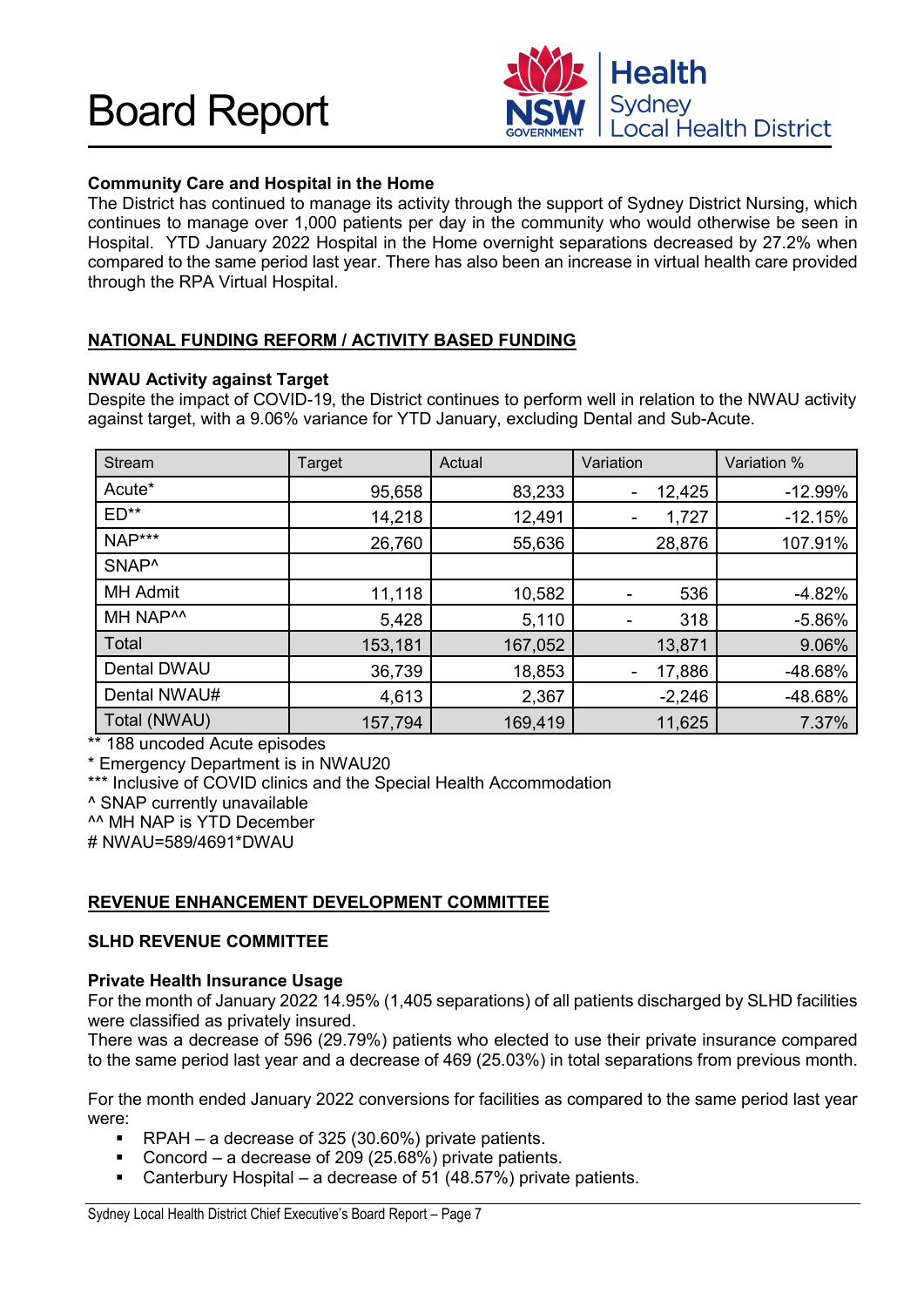

### **Community Care and Hospital in the Home**

The District has continued to manage its activity through the support of Sydney District Nursing, which continues to manage over 1,000 patients per day in the community who would otherwise be seen in Hospital. YTD January 2022 Hospital in the Home overnight separations decreased by 27.2% when compared to the same period last year. There has also been an increase in virtual health care provided through the RPA Virtual Hospital.

### **NATIONAL FUNDING REFORM / ACTIVITY BASED FUNDING**

#### **NWAU Activity against Target**

Despite the impact of COVID-19, the District continues to perform well in relation to the NWAU activity against target, with a 9.06% variance for YTD January, excluding Dental and Sub-Acute.

| <b>Stream</b>        | Target  | Actual  | Variation             | Variation % |
|----------------------|---------|---------|-----------------------|-------------|
| Acute*               | 95,658  | 83,233  | 12,425                | $-12.99%$   |
| $ED**$               | 14,218  | 12,491  | 1,727                 | $-12.15%$   |
| NAP***               | 26,760  | 55,636  | 28,876                | 107.91%     |
| SNAP <sup>^</sup>    |         |         |                       |             |
| <b>MH Admit</b>      | 11,118  | 10,582  | 536<br>$\blacksquare$ | $-4.82%$    |
| MH NAP <sup>^^</sup> | 5,428   | 5,110   | 318<br>٠              | $-5.86%$    |
| Total                | 153,181 | 167,052 | 13,871                | 9.06%       |
| Dental DWAU          | 36,739  | 18,853  | 17,886                | -48.68%     |
| Dental NWAU#         | 4,613   | 2,367   | $-2,246$              | -48.68%     |
| Total (NWAU)         | 157,794 | 169,419 | 11,625                | 7.37%       |

\*\* 188 uncoded Acute episodes

\* Emergency Department is in NWAU20

\*\*\* Inclusive of COVID clinics and the Special Health Accommodation

^ SNAP currently unavailable

^^ MH NAP is YTD December

# NWAU=589/4691\*DWAU

#### **REVENUE ENHANCEMENT DEVELOPMENT COMMITTEE**

#### **SLHD REVENUE COMMITTEE**

#### **Private Health Insurance Usage**

For the month of January 2022 14.95% (1,405 separations) of all patients discharged by SLHD facilities were classified as privately insured.

There was a decrease of 596 (29.79%) patients who elected to use their private insurance compared to the same period last year and a decrease of 469 (25.03%) in total separations from previous month.

For the month ended January 2022 conversions for facilities as compared to the same period last year were:

- RPAH a decrease of 325 (30.60%) private patients.<br>Concord a decrease of 209 (25.68%) private patient
- Concord a decrease of 209 (25.68%) private patients.
- Canterbury Hospital a decrease of 51 (48.57%) private patients.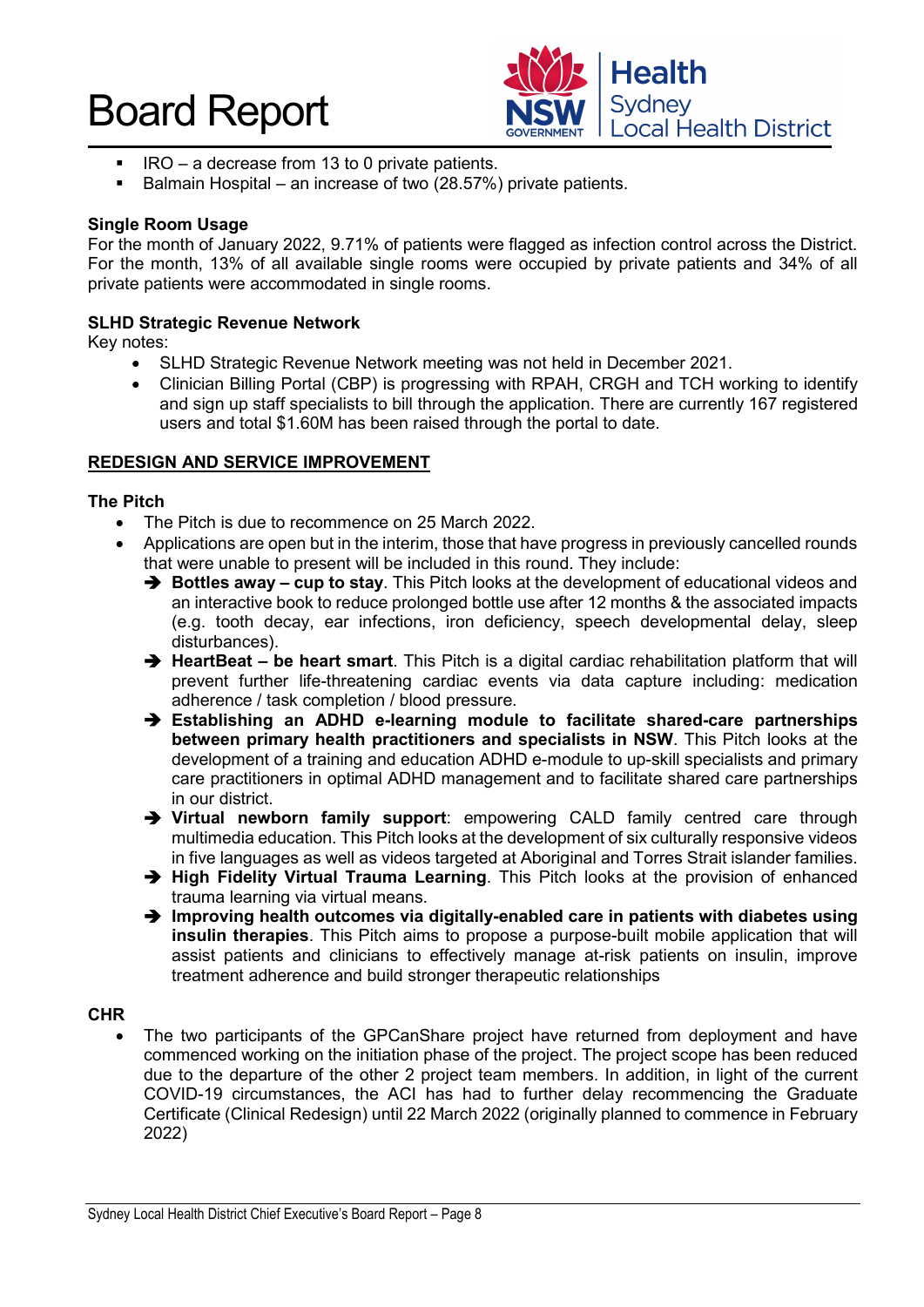

- $\blacksquare$  IRO a decrease from 13 to 0 private patients.
- Balmain Hospital an increase of two (28.57%) private patients.

#### **Single Room Usage**

For the month of January 2022, 9.71% of patients were flagged as infection control across the District. For the month, 13% of all available single rooms were occupied by private patients and 34% of all private patients were accommodated in single rooms.

#### **SLHD Strategic Revenue Network**

Key notes:

- SLHD Strategic Revenue Network meeting was not held in December 2021.
- Clinician Billing Portal (CBP) is progressing with RPAH, CRGH and TCH working to identify and sign up staff specialists to bill through the application. There are currently 167 registered users and total \$1.60M has been raised through the portal to date.

#### **REDESIGN AND SERVICE IMPROVEMENT**

#### **The Pitch**

- The Pitch is due to recommence on 25 March 2022.
- Applications are open but in the interim, those that have progress in previously cancelled rounds that were unable to present will be included in this round. They include:
	- **Bottles away cup to stay**. This Pitch looks at the development of educational videos and an interactive book to reduce prolonged bottle use after 12 months & the associated impacts (e.g. tooth decay, ear infections, iron deficiency, speech developmental delay, sleep disturbances).
	- **HeartBeat be heart smart**. This Pitch is a digital cardiac rehabilitation platform that will prevent further life-threatening cardiac events via data capture including: medication adherence / task completion / blood pressure.
	- **Establishing an ADHD e-learning module to facilitate shared-care partnerships between primary health practitioners and specialists in NSW**. This Pitch looks at the development of a training and education ADHD e-module to up-skill specialists and primary care practitioners in optimal ADHD management and to facilitate shared care partnerships in our district.
	- **Virtual newborn family support**: empowering CALD family centred care through multimedia education. This Pitch looks at the development of six culturally responsive videos in five languages as well as videos targeted at Aboriginal and Torres Strait islander families.
	- **High Fidelity Virtual Trauma Learning**. This Pitch looks at the provision of enhanced trauma learning via virtual means.
	- → Improving health outcomes via digitally-enabled care in patients with diabetes using **insulin therapies**. This Pitch aims to propose a purpose-built mobile application that will assist patients and clinicians to effectively manage at-risk patients on insulin, improve treatment adherence and build stronger therapeutic relationships

#### **CHR**

The two participants of the GPCanShare project have returned from deployment and have commenced working on the initiation phase of the project. The project scope has been reduced due to the departure of the other 2 project team members. In addition, in light of the current COVID-19 circumstances, the ACI has had to further delay recommencing the Graduate Certificate (Clinical Redesign) until 22 March 2022 (originally planned to commence in February 2022)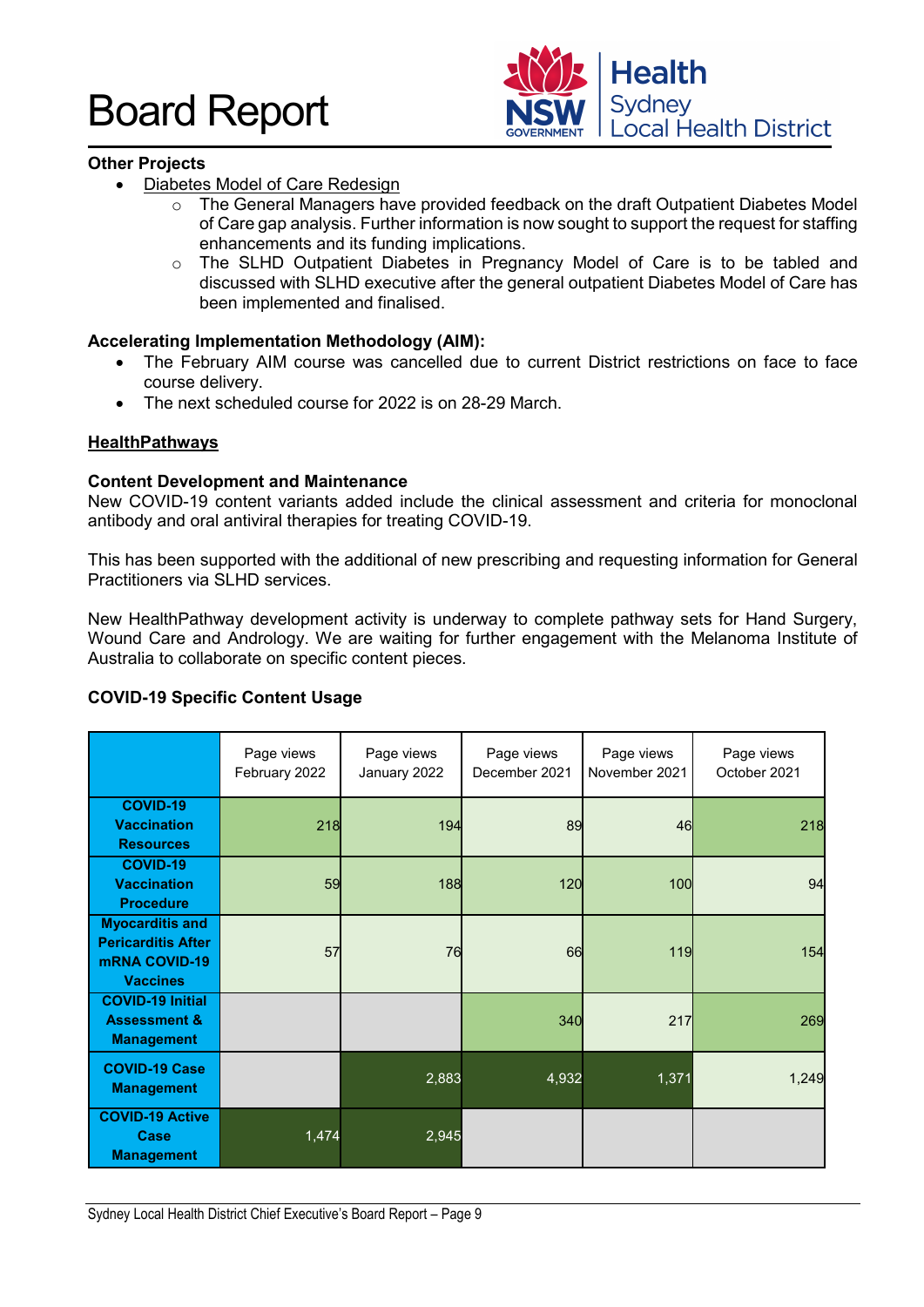

#### **Other Projects**

- Diabetes Model of Care Redesign
	- $\circ$  The General Managers have provided feedback on the draft Outpatient Diabetes Model of Care gap analysis. Further information is now sought to support the request for staffing enhancements and its funding implications.
	- o The SLHD Outpatient Diabetes in Pregnancy Model of Care is to be tabled and discussed with SLHD executive after the general outpatient Diabetes Model of Care has been implemented and finalised.

#### **Accelerating Implementation Methodology (AIM):**

- The February AIM course was cancelled due to current District restrictions on face to face course delivery.
- The next scheduled course for 2022 is on 28-29 March.

#### **HealthPathways**

#### **Content Development and Maintenance**

New COVID-19 content variants added include the clinical assessment and criteria for monoclonal antibody and oral antiviral therapies for treating COVID-19.

This has been supported with the additional of new prescribing and requesting information for General Practitioners via SLHD services.

New HealthPathway development activity is underway to complete pathway sets for Hand Surgery, Wound Care and Andrology. We are waiting for further engagement with the Melanoma Institute of Australia to collaborate on specific content pieces.

#### **COVID-19 Specific Content Usage**

|                                                                                                | Page views<br>February 2022 | Page views<br>January 2022 | Page views<br>December 2021 | Page views<br>November 2021 | Page views<br>October 2021 |
|------------------------------------------------------------------------------------------------|-----------------------------|----------------------------|-----------------------------|-----------------------------|----------------------------|
| <b>COVID-19</b><br><b>Vaccination</b><br><b>Resources</b>                                      | 218                         | 194                        | 89                          | 46                          | 218                        |
| <b>COVID-19</b><br><b>Vaccination</b><br><b>Procedure</b>                                      | 59                          | 188                        | 120                         | 100                         | 94                         |
| <b>Myocarditis and</b><br><b>Pericarditis After</b><br><b>mRNA COVID-19</b><br><b>Vaccines</b> | 57                          | 76                         | 66                          | 119                         | 154                        |
| <b>COVID-19 Initial</b><br><b>Assessment &amp;</b><br><b>Management</b>                        |                             |                            | 340                         | 217                         | 269                        |
| <b>COVID-19 Case</b><br><b>Management</b>                                                      |                             | 2,883                      | 4,932                       | 1,371                       | 1,249                      |
| <b>COVID-19 Active</b><br>Case<br><b>Management</b>                                            | 1,474                       | 2,945                      |                             |                             |                            |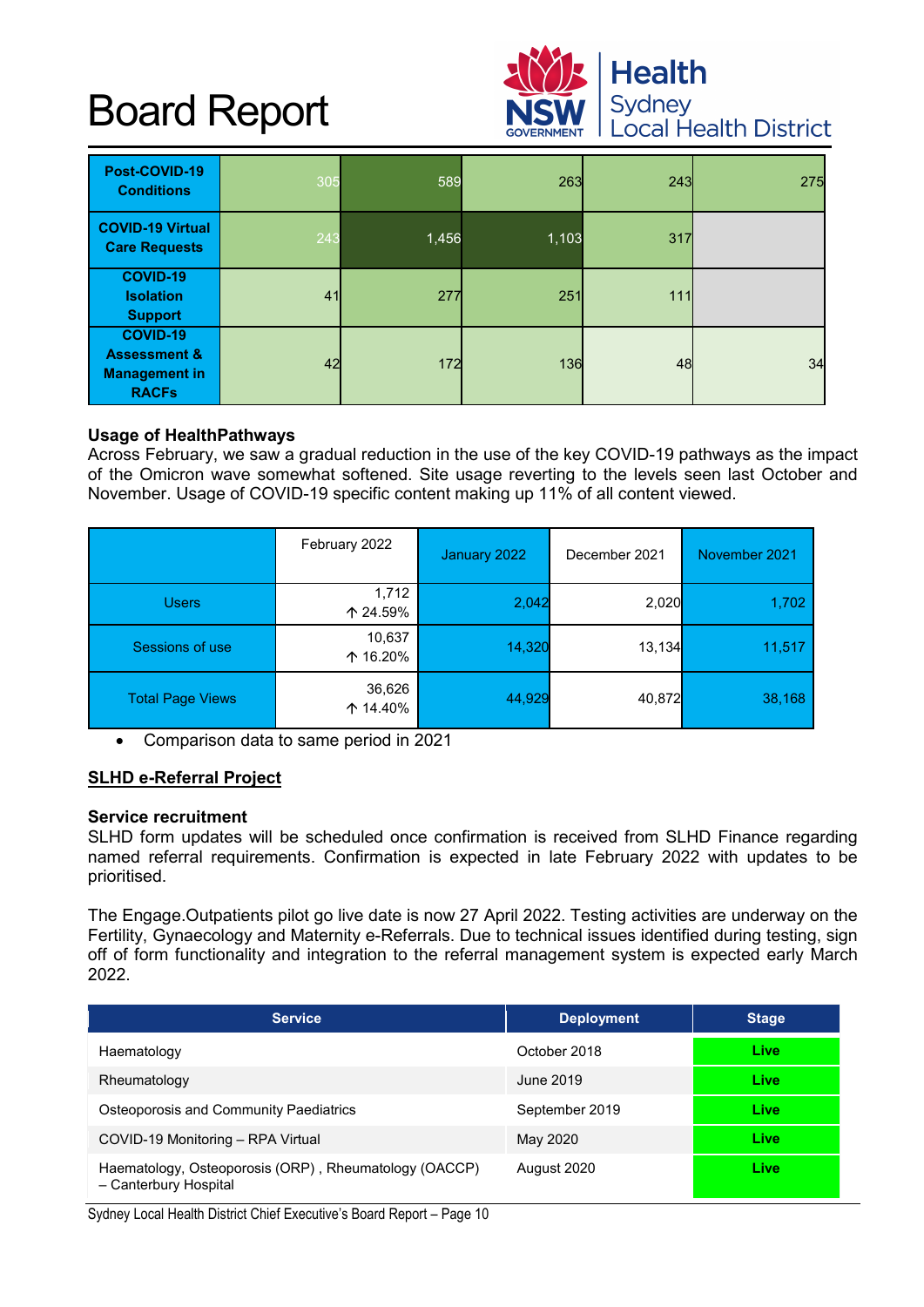

| Post-COVID-19<br><b>Conditions</b>                                                 | 305 | 589   | 263   | 243 | 275 |
|------------------------------------------------------------------------------------|-----|-------|-------|-----|-----|
| <b>COVID-19 Virtual</b><br><b>Care Requests</b>                                    | 243 | 1,456 | 1,103 | 317 |     |
| <b>COVID-19</b><br><b>Isolation</b><br><b>Support</b>                              | 41  | 277   | 251   | 111 |     |
| <b>COVID-19</b><br><b>Assessment &amp;</b><br><b>Management in</b><br><b>RACFs</b> | 42  | 172   | 136   | 48  | 34  |

#### **Usage of HealthPathways**

Across February, we saw a gradual reduction in the use of the key COVID-19 pathways as the impact of the Omicron wave somewhat softened. Site usage reverting to the levels seen last October and November. Usage of COVID-19 specific content making up 11% of all content viewed.

|                         | February 2022      | January 2022 | December 2021 | November 2021 |
|-------------------------|--------------------|--------------|---------------|---------------|
| <b>Users</b>            | 1,712<br>↑ 24.59%  | 2,042        | 2,020         | 1,702         |
| Sessions of use         | 10,637<br>个 16.20% | 14,320       | 13,134        | 11,517        |
| <b>Total Page Views</b> | 36,626<br>↑ 14.40% | 44,929       | 40,872        | 38,168        |

• Comparison data to same period in 2021

#### **SLHD e-Referral Project**

#### **Service recruitment**

SLHD form updates will be scheduled once confirmation is received from SLHD Finance regarding named referral requirements. Confirmation is expected in late February 2022 with updates to be prioritised.

The Engage.Outpatients pilot go live date is now 27 April 2022. Testing activities are underway on the Fertility, Gynaecology and Maternity e-Referrals. Due to technical issues identified during testing, sign off of form functionality and integration to the referral management system is expected early March 2022.

| <b>Service</b>                                                                 | <b>Deployment</b> | <b>Stage</b> |
|--------------------------------------------------------------------------------|-------------------|--------------|
| Haematology                                                                    | October 2018      | Live         |
| Rheumatology                                                                   | June 2019         | Live         |
| Osteoporosis and Community Paediatrics                                         | September 2019    | Live         |
| COVID-19 Monitoring - RPA Virtual                                              | May 2020          | Live         |
| Haematology, Osteoporosis (ORP), Rheumatology (OACCP)<br>- Canterbury Hospital | August 2020       | Live         |

Sydney Local Health District Chief Executive's Board Report – Page 10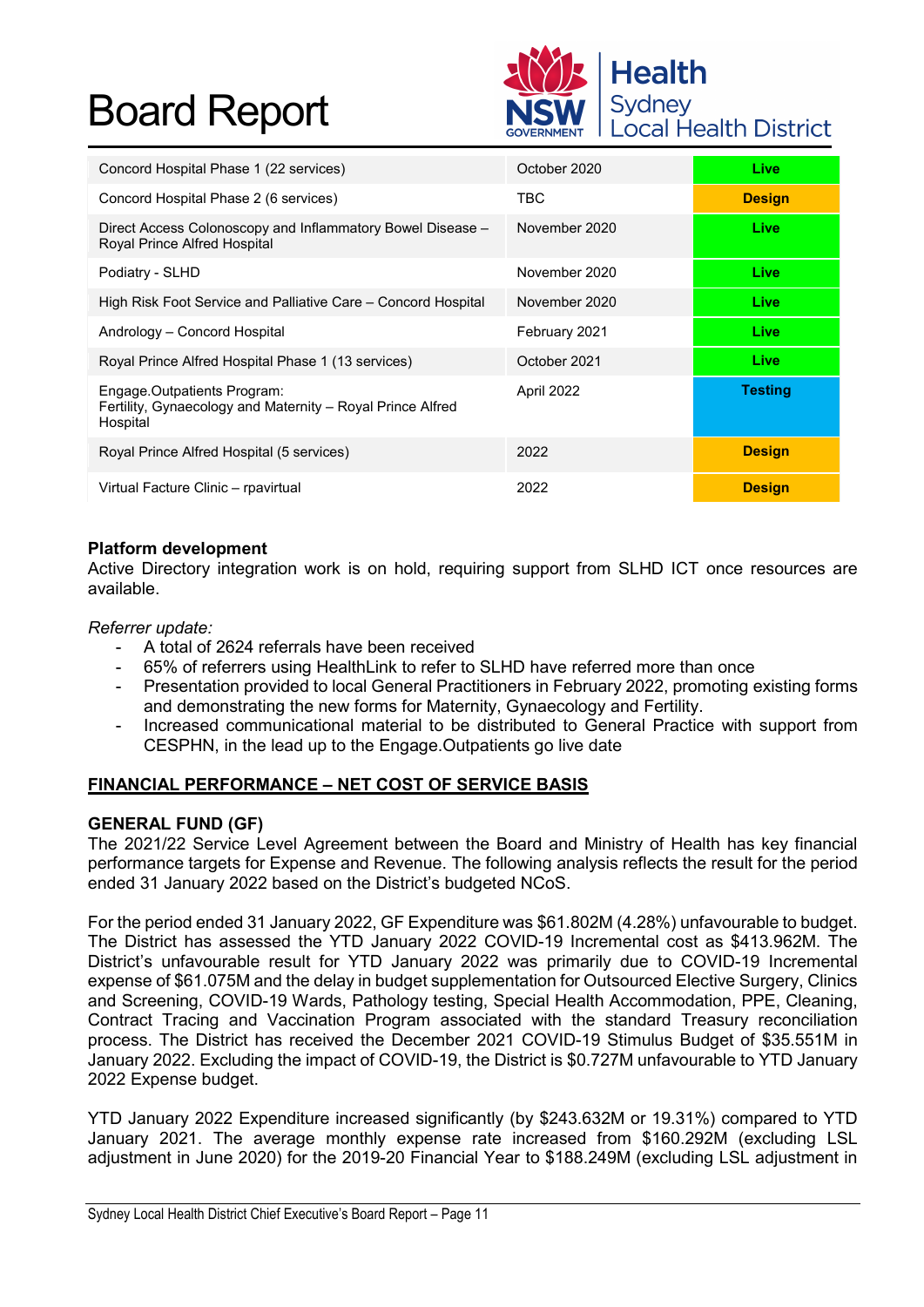

| Concord Hospital Phase 1 (22 services)                                                                | October 2020  | Live           |
|-------------------------------------------------------------------------------------------------------|---------------|----------------|
| Concord Hospital Phase 2 (6 services)                                                                 | TBC           | <b>Design</b>  |
| Direct Access Colonoscopy and Inflammatory Bowel Disease -<br>Royal Prince Alfred Hospital            | November 2020 | Live           |
| Podiatry - SLHD                                                                                       | November 2020 | Live           |
| High Risk Foot Service and Palliative Care – Concord Hospital                                         | November 2020 | Live           |
| Andrology – Concord Hospital                                                                          | February 2021 | Live           |
| Royal Prince Alfred Hospital Phase 1 (13 services)                                                    | October 2021  | Live           |
| Engage.Outpatients Program:<br>Fertility, Gynaecology and Maternity – Royal Prince Alfred<br>Hospital | April 2022    | <b>Testing</b> |
| Royal Prince Alfred Hospital (5 services)                                                             | 2022          | <b>Design</b>  |
| Virtual Facture Clinic - rpavirtual                                                                   | 2022          | <b>Design</b>  |

#### **Platform development**

Active Directory integration work is on hold, requiring support from SLHD ICT once resources are available.

*Referrer update:*

- A total of 2624 referrals have been received
- 65% of referrers using HealthLink to refer to SLHD have referred more than once
- Presentation provided to local General Practitioners in February 2022, promoting existing forms and demonstrating the new forms for Maternity, Gynaecology and Fertility.
- Increased communicational material to be distributed to General Practice with support from CESPHN, in the lead up to the Engage.Outpatients go live date

#### **FINANCIAL PERFORMANCE – NET COST OF SERVICE BASIS**

#### **GENERAL FUND (GF)**

The 2021/22 Service Level Agreement between the Board and Ministry of Health has key financial performance targets for Expense and Revenue. The following analysis reflects the result for the period ended 31 January 2022 based on the District's budgeted NCoS.

For the period ended 31 January 2022, GF Expenditure was \$61.802M (4.28%) unfavourable to budget. The District has assessed the YTD January 2022 COVID-19 Incremental cost as \$413.962M. The District's unfavourable result for YTD January 2022 was primarily due to COVID-19 Incremental expense of \$61.075M and the delay in budget supplementation for Outsourced Elective Surgery, Clinics and Screening, COVID-19 Wards, Pathology testing, Special Health Accommodation, PPE, Cleaning, Contract Tracing and Vaccination Program associated with the standard Treasury reconciliation process. The District has received the December 2021 COVID-19 Stimulus Budget of \$35.551M in January 2022. Excluding the impact of COVID-19, the District is \$0.727M unfavourable to YTD January 2022 Expense budget.

YTD January 2022 Expenditure increased significantly (by \$243.632M or 19.31%) compared to YTD January 2021. The average monthly expense rate increased from \$160.292M (excluding LSL adjustment in June 2020) for the 2019-20 Financial Year to \$188.249M (excluding LSL adjustment in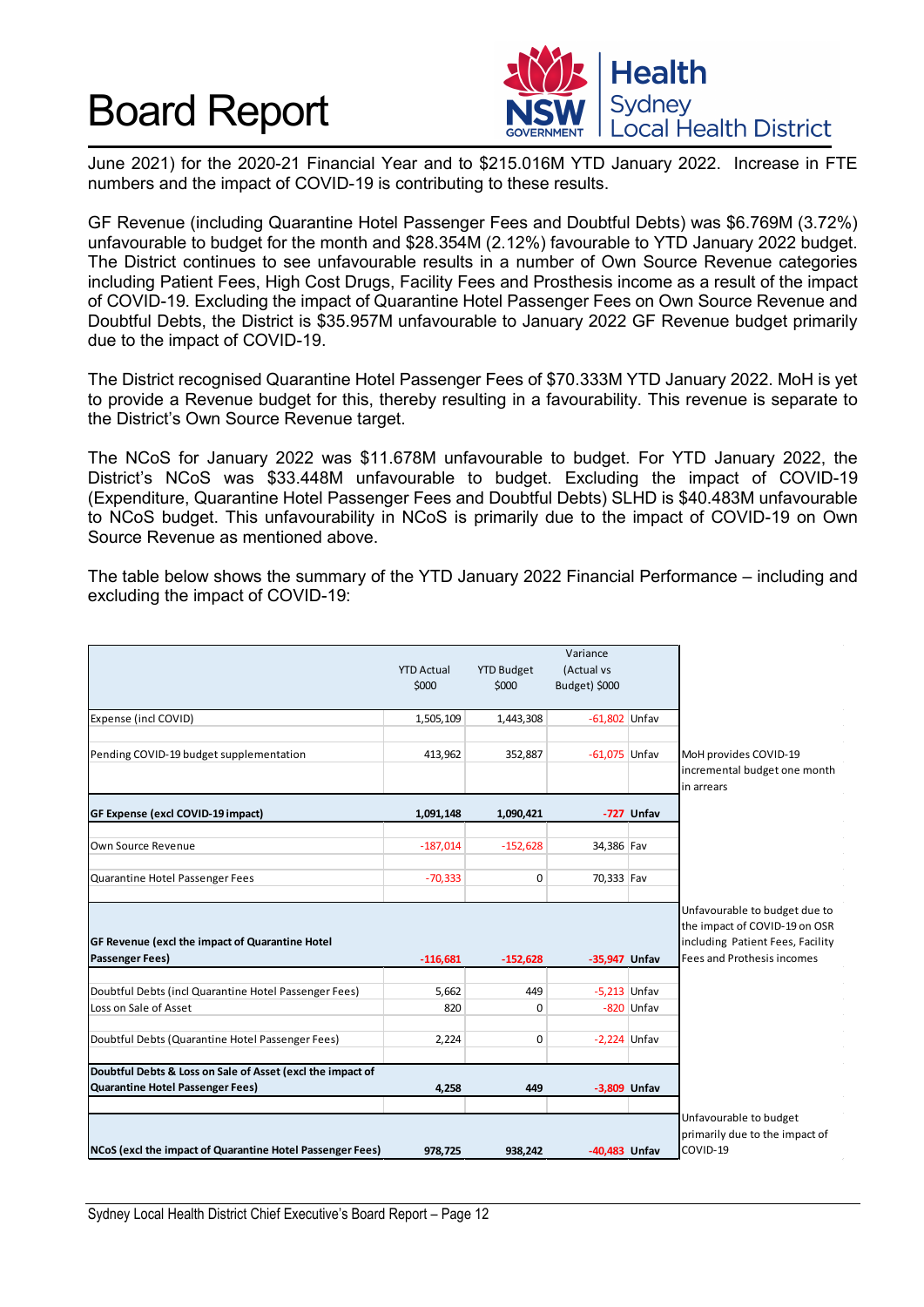

June 2021) for the 2020-21 Financial Year and to \$215.016M YTD January 2022. Increase in FTE numbers and the impact of COVID-19 is contributing to these results.

GF Revenue (including Quarantine Hotel Passenger Fees and Doubtful Debts) was \$6.769M (3.72%) unfavourable to budget for the month and \$28.354M (2.12%) favourable to YTD January 2022 budget. The District continues to see unfavourable results in a number of Own Source Revenue categories including Patient Fees, High Cost Drugs, Facility Fees and Prosthesis income as a result of the impact of COVID-19. Excluding the impact of Quarantine Hotel Passenger Fees on Own Source Revenue and Doubtful Debts, the District is \$35.957M unfavourable to January 2022 GF Revenue budget primarily due to the impact of COVID-19.

The District recognised Quarantine Hotel Passenger Fees of \$70.333M YTD January 2022. MoH is yet to provide a Revenue budget for this, thereby resulting in a favourability. This revenue is separate to the District's Own Source Revenue target.

The NCoS for January 2022 was \$11.678M unfavourable to budget. For YTD January 2022, the District's NCoS was \$33.448M unfavourable to budget. Excluding the impact of COVID-19 (Expenditure, Quarantine Hotel Passenger Fees and Doubtful Debts) SLHD is \$40.483M unfavourable to NCoS budget. This unfavourability in NCoS is primarily due to the impact of COVID-19 on Own Source Revenue as mentioned above.

The table below shows the summary of the YTD January 2022 Financial Performance – including and excluding the impact of COVID-19:

|                                                            | <b>YTD Actual</b><br>\$000 | <b>YTD Budget</b><br>\$000 | Variance<br>(Actual vs<br>Budget) \$000 |              |                                                                                                    |
|------------------------------------------------------------|----------------------------|----------------------------|-----------------------------------------|--------------|----------------------------------------------------------------------------------------------------|
| Expense (incl COVID)                                       | 1,505,109                  | 1,443,308                  | $-61,802$ Unfav                         |              |                                                                                                    |
| Pending COVID-19 budget supplementation                    | 413,962                    | 352,887                    | $-61,075$ Unfav                         |              | MoH provides COVID-19<br>incremental budget one month<br>in arrears                                |
| GF Expense (excl COVID-19 impact)                          | 1,091,148                  | 1,090,421                  |                                         | -727 Unfav   |                                                                                                    |
| Own Source Revenue                                         | $-187,014$                 | $-152,628$                 | 34,386 Fav                              |              |                                                                                                    |
| Quarantine Hotel Passenger Fees                            | $-70,333$                  | $\mathbf 0$                | 70,333 Fav                              |              |                                                                                                    |
| GF Revenue (excl the impact of Quarantine Hotel            |                            |                            |                                         |              | Unfavourable to budget due to<br>the impact of COVID-19 on OSR<br>including Patient Fees, Facility |
| <b>Passenger Fees)</b>                                     | $-116,681$                 | $-152,628$                 | -35,947 Unfav                           |              | Fees and Prothesis incomes                                                                         |
| Doubtful Debts (incl Quarantine Hotel Passenger Fees)      | 5,662                      | 449                        | $-5.213$ Unfav                          |              |                                                                                                    |
| Loss on Sale of Asset                                      | 820                        | 0                          |                                         | -820 Unfav   |                                                                                                    |
| Doubtful Debts (Quarantine Hotel Passenger Fees)           | 2,224                      | 0                          | $-2.224$ Unfav                          |              |                                                                                                    |
| Doubtful Debts & Loss on Sale of Asset (excl the impact of |                            |                            |                                         |              |                                                                                                    |
| Quarantine Hotel Passenger Fees)                           | 4,258                      | 449                        |                                         | -3,809 Unfav |                                                                                                    |
| NCoS (excl the impact of Quarantine Hotel Passenger Fees)  | 978,725                    | 938,242                    | -40,483 Unfav                           |              | Unfavourable to budget<br>primarily due to the impact of<br>COVID-19                               |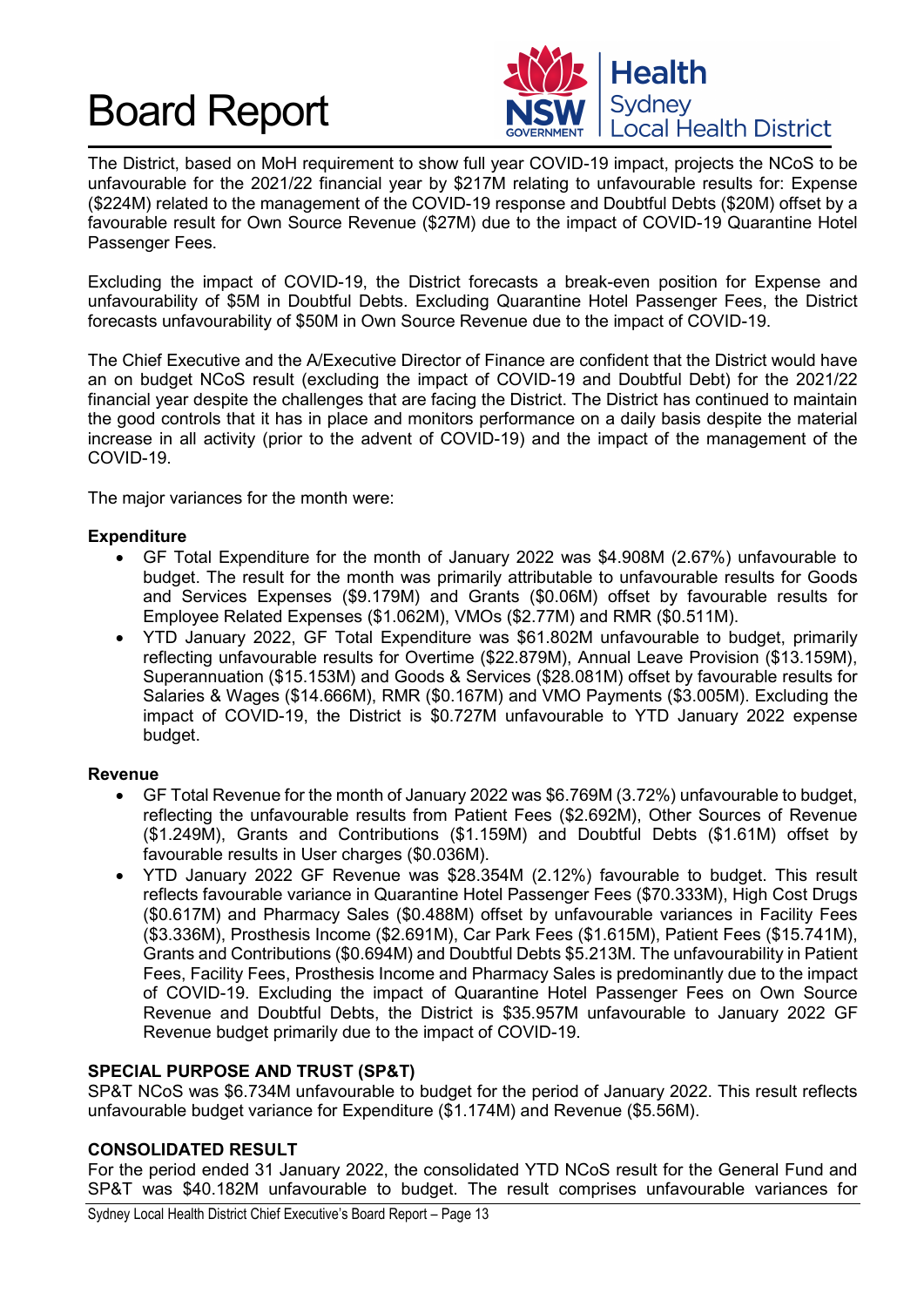

The District, based on MoH requirement to show full year COVID-19 impact, projects the NCoS to be unfavourable for the 2021/22 financial year by \$217M relating to unfavourable results for: Expense (\$224M) related to the management of the COVID-19 response and Doubtful Debts (\$20M) offset by a favourable result for Own Source Revenue (\$27M) due to the impact of COVID-19 Quarantine Hotel Passenger Fees.

Excluding the impact of COVID-19, the District forecasts a break-even position for Expense and unfavourability of \$5M in Doubtful Debts. Excluding Quarantine Hotel Passenger Fees, the District forecasts unfavourability of \$50M in Own Source Revenue due to the impact of COVID-19.

The Chief Executive and the A/Executive Director of Finance are confident that the District would have an on budget NCoS result (excluding the impact of COVID-19 and Doubtful Debt) for the 2021/22 financial year despite the challenges that are facing the District. The District has continued to maintain the good controls that it has in place and monitors performance on a daily basis despite the material increase in all activity (prior to the advent of COVID-19) and the impact of the management of the COVID-19.

The major variances for the month were:

#### **Expenditure**

- GF Total Expenditure for the month of January 2022 was \$4.908M (2.67%) unfavourable to budget. The result for the month was primarily attributable to unfavourable results for Goods and Services Expenses (\$9.179M) and Grants (\$0.06M) offset by favourable results for Employee Related Expenses (\$1.062M), VMOs (\$2.77M) and RMR (\$0.511M).
- YTD January 2022, GF Total Expenditure was \$61.802M unfavourable to budget, primarily reflecting unfavourable results for Overtime (\$22.879M), Annual Leave Provision (\$13.159M), Superannuation (\$15.153M) and Goods & Services (\$28.081M) offset by favourable results for Salaries & Wages (\$14.666M), RMR (\$0.167M) and VMO Payments (\$3.005M). Excluding the impact of COVID-19, the District is \$0.727M unfavourable to YTD January 2022 expense budget.

#### **Revenue**

- GF Total Revenue for the month of January 2022 was \$6.769M (3.72%) unfavourable to budget, reflecting the unfavourable results from Patient Fees (\$2.692M), Other Sources of Revenue (\$1.249M), Grants and Contributions (\$1.159M) and Doubtful Debts (\$1.61M) offset by favourable results in User charges (\$0.036M).
- YTD January 2022 GF Revenue was \$28.354M (2.12%) favourable to budget. This result reflects favourable variance in Quarantine Hotel Passenger Fees (\$70.333M), High Cost Drugs (\$0.617M) and Pharmacy Sales (\$0.488M) offset by unfavourable variances in Facility Fees (\$3.336M), Prosthesis Income (\$2.691M), Car Park Fees (\$1.615M), Patient Fees (\$15.741M), Grants and Contributions (\$0.694M) and Doubtful Debts \$5.213M. The unfavourability in Patient Fees, Facility Fees, Prosthesis Income and Pharmacy Sales is predominantly due to the impact of COVID-19. Excluding the impact of Quarantine Hotel Passenger Fees on Own Source Revenue and Doubtful Debts, the District is \$35.957M unfavourable to January 2022 GF Revenue budget primarily due to the impact of COVID-19.

#### **SPECIAL PURPOSE AND TRUST (SP&T)**

SP&T NCoS was \$6.734M unfavourable to budget for the period of January 2022. This result reflects unfavourable budget variance for Expenditure (\$1.174M) and Revenue (\$5.56M).

#### **CONSOLIDATED RESULT**

For the period ended 31 January 2022, the consolidated YTD NCoS result for the General Fund and SP&T was \$40.182M unfavourable to budget. The result comprises unfavourable variances for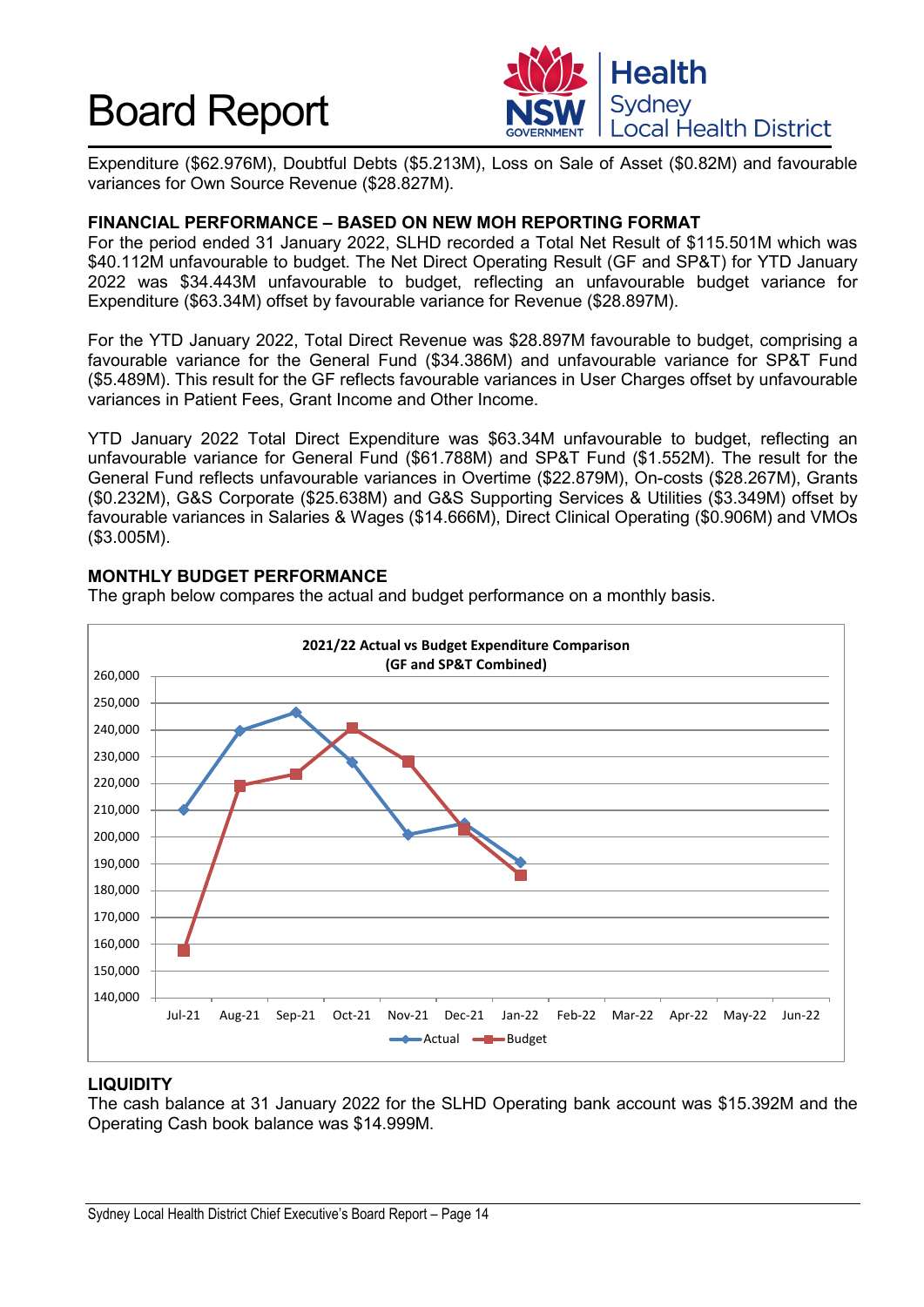

Expenditure (\$62.976M), Doubtful Debts (\$5.213M), Loss on Sale of Asset (\$0.82M) and favourable variances for Own Source Revenue (\$28.827M).

#### **FINANCIAL PERFORMANCE – BASED ON NEW MOH REPORTING FORMAT**

For the period ended 31 January 2022, SLHD recorded a Total Net Result of \$115.501M which was \$40.112M unfavourable to budget. The Net Direct Operating Result (GF and SP&T) for YTD January 2022 was \$34.443M unfavourable to budget, reflecting an unfavourable budget variance for Expenditure (\$63.34M) offset by favourable variance for Revenue (\$28.897M).

For the YTD January 2022, Total Direct Revenue was \$28.897M favourable to budget, comprising a favourable variance for the General Fund (\$34.386M) and unfavourable variance for SP&T Fund (\$5.489M). This result for the GF reflects favourable variances in User Charges offset by unfavourable variances in Patient Fees, Grant Income and Other Income.

YTD January 2022 Total Direct Expenditure was \$63.34M unfavourable to budget, reflecting an unfavourable variance for General Fund (\$61.788M) and SP&T Fund (\$1.552M). The result for the General Fund reflects unfavourable variances in Overtime (\$22.879M), On-costs (\$28.267M), Grants (\$0.232M), G&S Corporate (\$25.638M) and G&S Supporting Services & Utilities (\$3.349M) offset by favourable variances in Salaries & Wages (\$14.666M), Direct Clinical Operating (\$0.906M) and VMOs (\$3.005M).

#### **MONTHLY BUDGET PERFORMANCE**

The graph below compares the actual and budget performance on a monthly basis.



#### **LIQUIDITY**

The cash balance at 31 January 2022 for the SLHD Operating bank account was \$15.392M and the Operating Cash book balance was \$14.999M.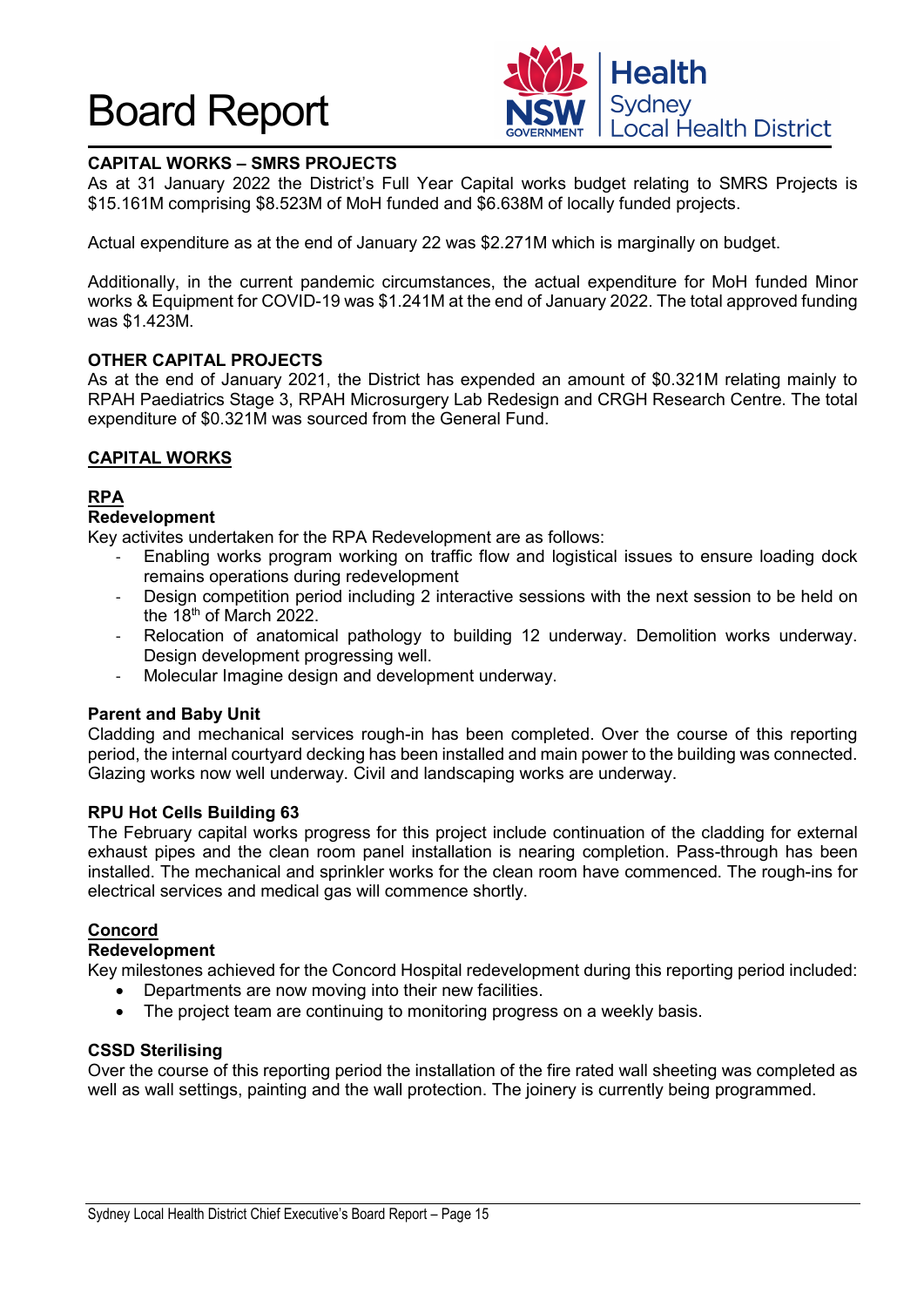

### **CAPITAL WORKS – SMRS PROJECTS**

As at 31 January 2022 the District's Full Year Capital works budget relating to SMRS Projects is \$15.161M comprising \$8.523M of MoH funded and \$6.638M of locally funded projects.

Actual expenditure as at the end of January 22 was \$2.271M which is marginally on budget.

Additionally, in the current pandemic circumstances, the actual expenditure for MoH funded Minor works & Equipment for COVID-19 was \$1.241M at the end of January 2022. The total approved funding was \$1.423M.

#### **OTHER CAPITAL PROJECTS**

As at the end of January 2021, the District has expended an amount of \$0.321M relating mainly to RPAH Paediatrics Stage 3, RPAH Microsurgery Lab Redesign and CRGH Research Centre. The total expenditure of \$0.321M was sourced from the General Fund.

#### **CAPITAL WORKS**

#### **RPA**

#### **Redevelopment**

Key activites undertaken for the RPA Redevelopment are as follows:

- Enabling works program working on traffic flow and logistical issues to ensure loading dock remains operations during redevelopment
- Design competition period including 2 interactive sessions with the next session to be held on the  $18<sup>th</sup>$  of March 2022.
- Relocation of anatomical pathology to building 12 underway. Demolition works underway. Design development progressing well.
- Molecular Imagine design and development underway.

#### **Parent and Baby Unit**

Cladding and mechanical services rough-in has been completed. Over the course of this reporting period, the internal courtyard decking has been installed and main power to the building was connected. Glazing works now well underway. Civil and landscaping works are underway.

#### **RPU Hot Cells Building 63**

The February capital works progress for this project include continuation of the cladding for external exhaust pipes and the clean room panel installation is nearing completion. Pass-through has been installed. The mechanical and sprinkler works for the clean room have commenced. The rough-ins for electrical services and medical gas will commence shortly.

#### **Concord**

#### **Redevelopment**

Key milestones achieved for the Concord Hospital redevelopment during this reporting period included:

- Departments are now moving into their new facilities.
- The project team are continuing to monitoring progress on a weekly basis.

#### **CSSD Sterilising**

Over the course of this reporting period the installation of the fire rated wall sheeting was completed as well as wall settings, painting and the wall protection. The joinery is currently being programmed.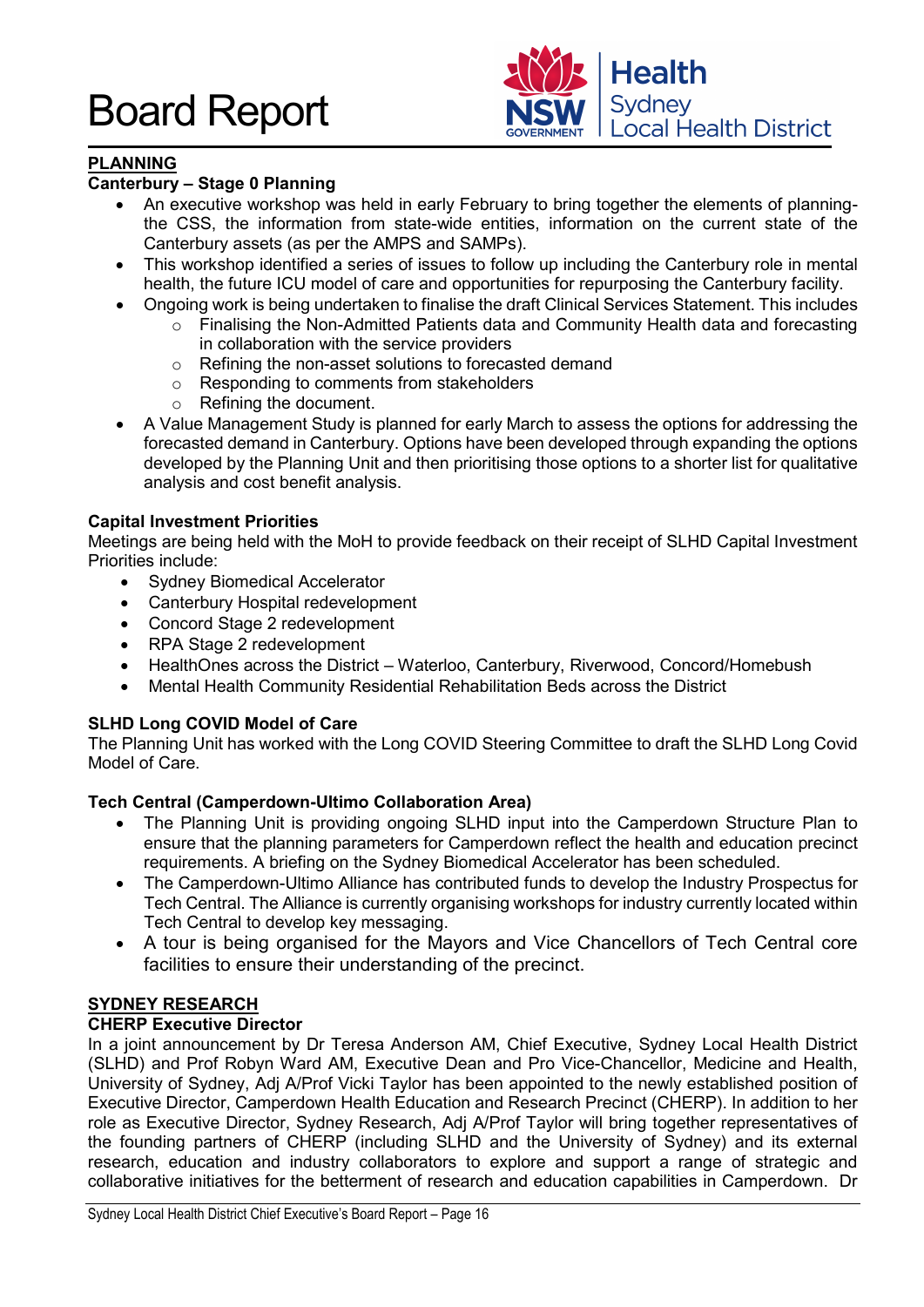

### **PLANNING**

### **Canterbury – Stage 0 Planning**

- An executive workshop was held in early February to bring together the elements of planningthe CSS, the information from state-wide entities, information on the current state of the Canterbury assets (as per the AMPS and SAMPs).
- This workshop identified a series of issues to follow up including the Canterbury role in mental health, the future ICU model of care and opportunities for repurposing the Canterbury facility.
- Ongoing work is being undertaken to finalise the draft Clinical Services Statement. This includes
	- o Finalising the Non-Admitted Patients data and Community Health data and forecasting in collaboration with the service providers
	- o Refining the non-asset solutions to forecasted demand
	- o Responding to comments from stakeholders
	- o Refining the document.
- A Value Management Study is planned for early March to assess the options for addressing the forecasted demand in Canterbury. Options have been developed through expanding the options developed by the Planning Unit and then prioritising those options to a shorter list for qualitative analysis and cost benefit analysis.

#### **Capital Investment Priorities**

Meetings are being held with the MoH to provide feedback on their receipt of SLHD Capital Investment Priorities include:

- Sydney Biomedical Accelerator
- Canterbury Hospital redevelopment
- Concord Stage 2 redevelopment
- RPA Stage 2 redevelopment
- HealthOnes across the District Waterloo, Canterbury, Riverwood, Concord/Homebush
- Mental Health Community Residential Rehabilitation Beds across the District

#### **SLHD Long COVID Model of Care**

The Planning Unit has worked with the Long COVID Steering Committee to draft the SLHD Long Covid Model of Care.

#### **Tech Central (Camperdown-Ultimo Collaboration Area)**

- The Planning Unit is providing ongoing SLHD input into the Camperdown Structure Plan to ensure that the planning parameters for Camperdown reflect the health and education precinct requirements. A briefing on the Sydney Biomedical Accelerator has been scheduled.
- The Camperdown-Ultimo Alliance has contributed funds to develop the Industry Prospectus for Tech Central. The Alliance is currently organising workshops for industry currently located within Tech Central to develop key messaging.
- A tour is being organised for the Mayors and Vice Chancellors of Tech Central core facilities to ensure their understanding of the precinct.

#### **SYDNEY RESEARCH**

#### **CHERP Executive Director**

In a joint announcement by Dr Teresa Anderson AM, Chief Executive, Sydney Local Health District (SLHD) and Prof Robyn Ward AM, Executive Dean and Pro Vice-Chancellor, Medicine and Health, University of Sydney, Adj A/Prof Vicki Taylor has been appointed to the newly established position of Executive Director, Camperdown Health Education and Research Precinct (CHERP). In addition to her role as Executive Director, Sydney Research, Adj A/Prof Taylor will bring together representatives of the founding partners of CHERP (including SLHD and the University of Sydney) and its external research, education and industry collaborators to explore and support a range of strategic and collaborative initiatives for the betterment of research and education capabilities in Camperdown. Dr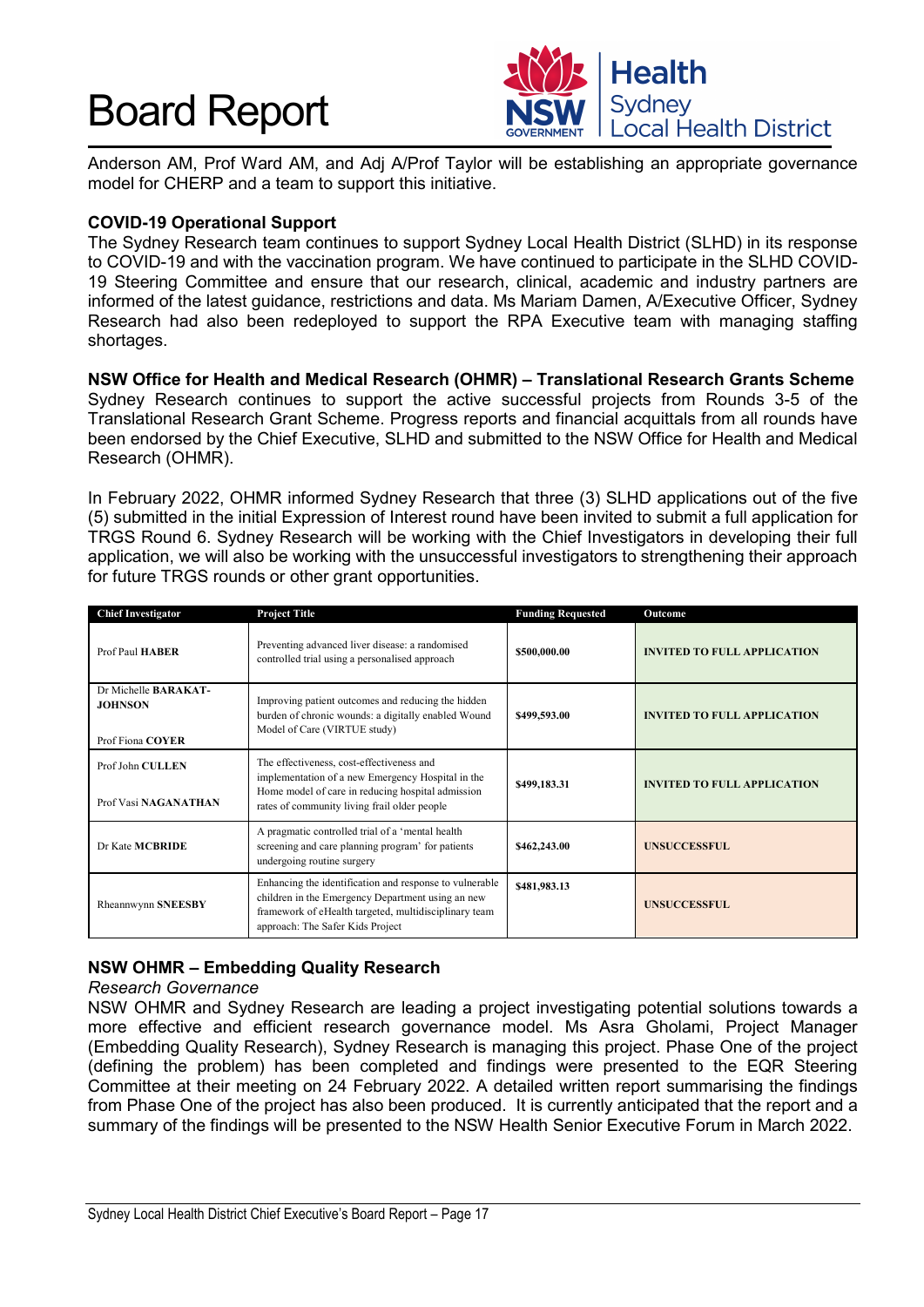

Anderson AM, Prof Ward AM, and Adj A/Prof Taylor will be establishing an appropriate governance model for CHERP and a team to support this initiative.

#### **COVID-19 Operational Support**

The Sydney Research team continues to support Sydney Local Health District (SLHD) in its response to COVID-19 and with the vaccination program. We have continued to participate in the SLHD COVID-19 Steering Committee and ensure that our research, clinical, academic and industry partners are informed of the latest guidance, restrictions and data. Ms Mariam Damen, A/Executive Officer, Sydney Research had also been redeployed to support the RPA Executive team with managing staffing shortages.

**NSW Office for Health and Medical Research (OHMR) – Translational Research Grants Scheme**  Sydney Research continues to support the active successful projects from Rounds 3-5 of the Translational Research Grant Scheme. Progress reports and financial acquittals from all rounds have been endorsed by the Chief Executive, SLHD and submitted to the NSW Office for Health and Medical Research (OHMR).

In February 2022, OHMR informed Sydney Research that three (3) SLHD applications out of the five (5) submitted in the initial Expression of Interest round have been invited to submit a full application for TRGS Round 6. Sydney Research will be working with the Chief Investigators in developing their full application, we will also be working with the unsuccessful investigators to strengthening their approach for future TRGS rounds or other grant opportunities.

| <b>Chief Investigator</b>                                         | <b>Project Title</b>                                                                                                                                                                                      | <b>Funding Requested</b> | Outcome                            |
|-------------------------------------------------------------------|-----------------------------------------------------------------------------------------------------------------------------------------------------------------------------------------------------------|--------------------------|------------------------------------|
| Prof Paul HABER                                                   | Preventing advanced liver disease: a randomised<br>controlled trial using a personalised approach                                                                                                         | \$500,000.00             | <b>INVITED TO FULL APPLICATION</b> |
| Dr Michelle <b>BARAKAT-</b><br><b>JOHNSON</b><br>Prof Fiona COYER | Improving patient outcomes and reducing the hidden<br>burden of chronic wounds: a digitally enabled Wound<br>Model of Care (VIRTUE study)                                                                 | \$499,593.00             | <b>INVITED TO FULL APPLICATION</b> |
| Prof John CULLEN<br>Prof Vasi NAGANATHAN                          | The effectiveness, cost-effectiveness and<br>implementation of a new Emergency Hospital in the<br>Home model of care in reducing hospital admission<br>rates of community living frail older people       | \$499,183.31             | <b>INVITED TO FULL APPLICATION</b> |
| Dr Kate MCBRIDE                                                   | A pragmatic controlled trial of a 'mental health<br>screening and care planning program' for patients<br>undergoing routine surgery                                                                       | \$462,243.00             | <b>UNSUCCESSFUL</b>                |
| Rheannwynn SNEESBY                                                | Enhancing the identification and response to vulnerable<br>children in the Emergency Department using an new<br>framework of eHealth targeted, multidisciplinary team<br>approach: The Safer Kids Project | \$481,983.13             | <b>UNSUCCESSFUL</b>                |

#### **NSW OHMR – Embedding Quality Research**

#### *Research Governance*

NSW OHMR and Sydney Research are leading a project investigating potential solutions towards a more effective and efficient research governance model. Ms Asra Gholami, Project Manager (Embedding Quality Research), Sydney Research is managing this project. Phase One of the project (defining the problem) has been completed and findings were presented to the EQR Steering Committee at their meeting on 24 February 2022. A detailed written report summarising the findings from Phase One of the project has also been produced. It is currently anticipated that the report and a summary of the findings will be presented to the NSW Health Senior Executive Forum in March 2022.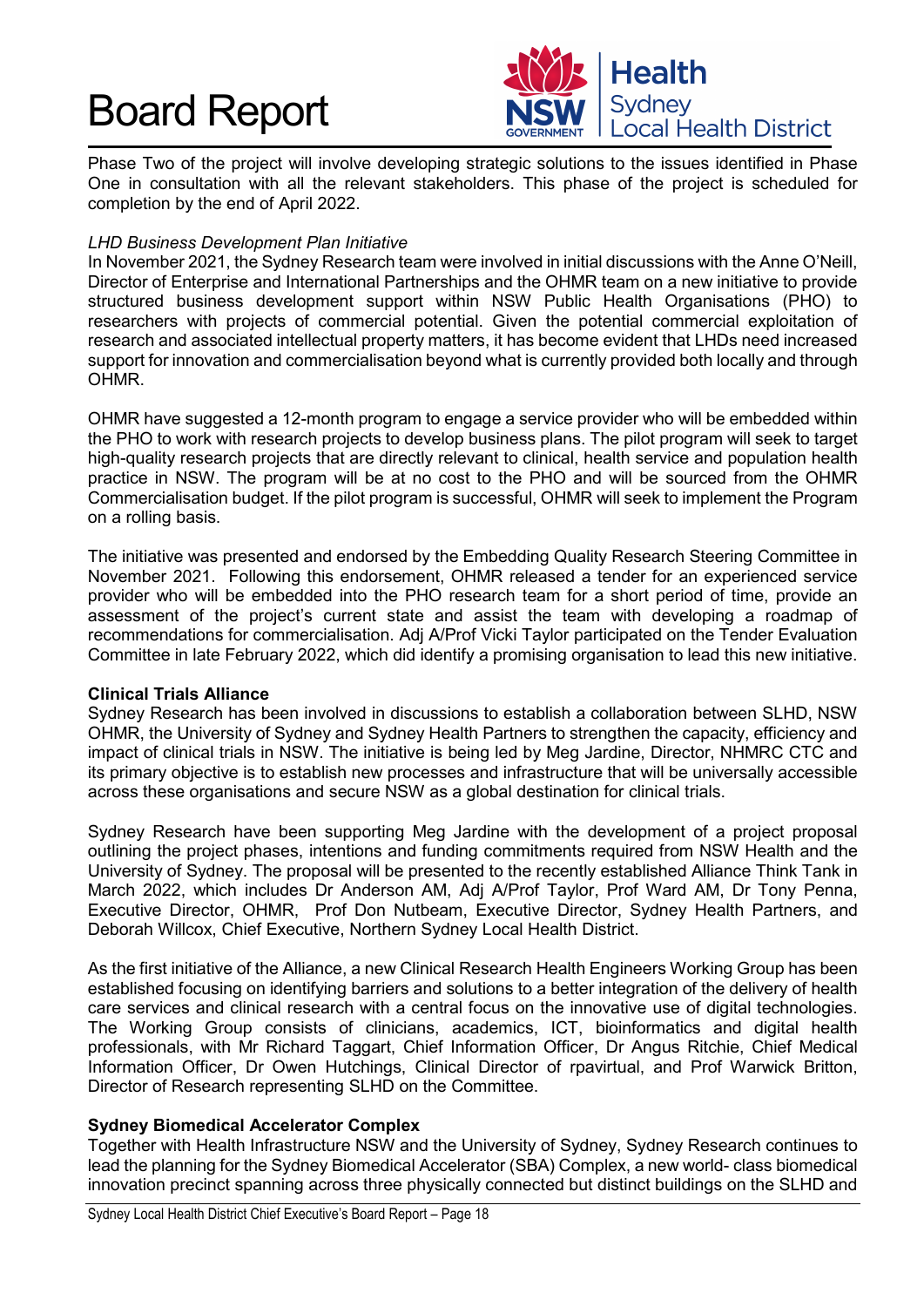

Phase Two of the project will involve developing strategic solutions to the issues identified in Phase One in consultation with all the relevant stakeholders. This phase of the project is scheduled for completion by the end of April 2022.

#### *LHD Business Development Plan Initiative*

In November 2021, the Sydney Research team were involved in initial discussions with the Anne O'Neill, Director of Enterprise and International Partnerships and the OHMR team on a new initiative to provide structured business development support within NSW Public Health Organisations (PHO) to researchers with projects of commercial potential. Given the potential commercial exploitation of research and associated intellectual property matters, it has become evident that LHDs need increased support for innovation and commercialisation beyond what is currently provided both locally and through OHMR.

OHMR have suggested a 12-month program to engage a service provider who will be embedded within the PHO to work with research projects to develop business plans. The pilot program will seek to target high-quality research projects that are directly relevant to clinical, health service and population health practice in NSW. The program will be at no cost to the PHO and will be sourced from the OHMR Commercialisation budget. If the pilot program is successful, OHMR will seek to implement the Program on a rolling basis.

The initiative was presented and endorsed by the Embedding Quality Research Steering Committee in November 2021. Following this endorsement, OHMR released a tender for an experienced service provider who will be embedded into the PHO research team for a short period of time, provide an assessment of the project's current state and assist the team with developing a roadmap of recommendations for commercialisation. Adj A/Prof Vicki Taylor participated on the Tender Evaluation Committee in late February 2022, which did identify a promising organisation to lead this new initiative.

#### **Clinical Trials Alliance**

Sydney Research has been involved in discussions to establish a collaboration between SLHD, NSW OHMR, the University of Sydney and Sydney Health Partners to strengthen the capacity, efficiency and impact of clinical trials in NSW. The initiative is being led by Meg Jardine, Director, NHMRC CTC and its primary objective is to establish new processes and infrastructure that will be universally accessible across these organisations and secure NSW as a global destination for clinical trials.

Sydney Research have been supporting Meg Jardine with the development of a project proposal outlining the project phases, intentions and funding commitments required from NSW Health and the University of Sydney. The proposal will be presented to the recently established Alliance Think Tank in March 2022, which includes Dr Anderson AM, Adj A/Prof Taylor, Prof Ward AM, Dr Tony Penna, Executive Director, OHMR, Prof Don Nutbeam, Executive Director, Sydney Health Partners, and Deborah Willcox, Chief Executive, Northern Sydney Local Health District.

As the first initiative of the Alliance, a new Clinical Research Health Engineers Working Group has been established focusing on identifying barriers and solutions to a better integration of the delivery of health care services and clinical research with a central focus on the innovative use of digital technologies. The Working Group consists of clinicians, academics, ICT, bioinformatics and digital health professionals, with Mr Richard Taggart, Chief Information Officer, Dr Angus Ritchie, Chief Medical Information Officer, Dr Owen Hutchings, Clinical Director of rpavirtual, and Prof Warwick Britton, Director of Research representing SLHD on the Committee.

#### **Sydney Biomedical Accelerator Complex**

Together with Health Infrastructure NSW and the University of Sydney, Sydney Research continues to lead the planning for the Sydney Biomedical Accelerator (SBA) Complex, a new world- class biomedical innovation precinct spanning across three physically connected but distinct buildings on the SLHD and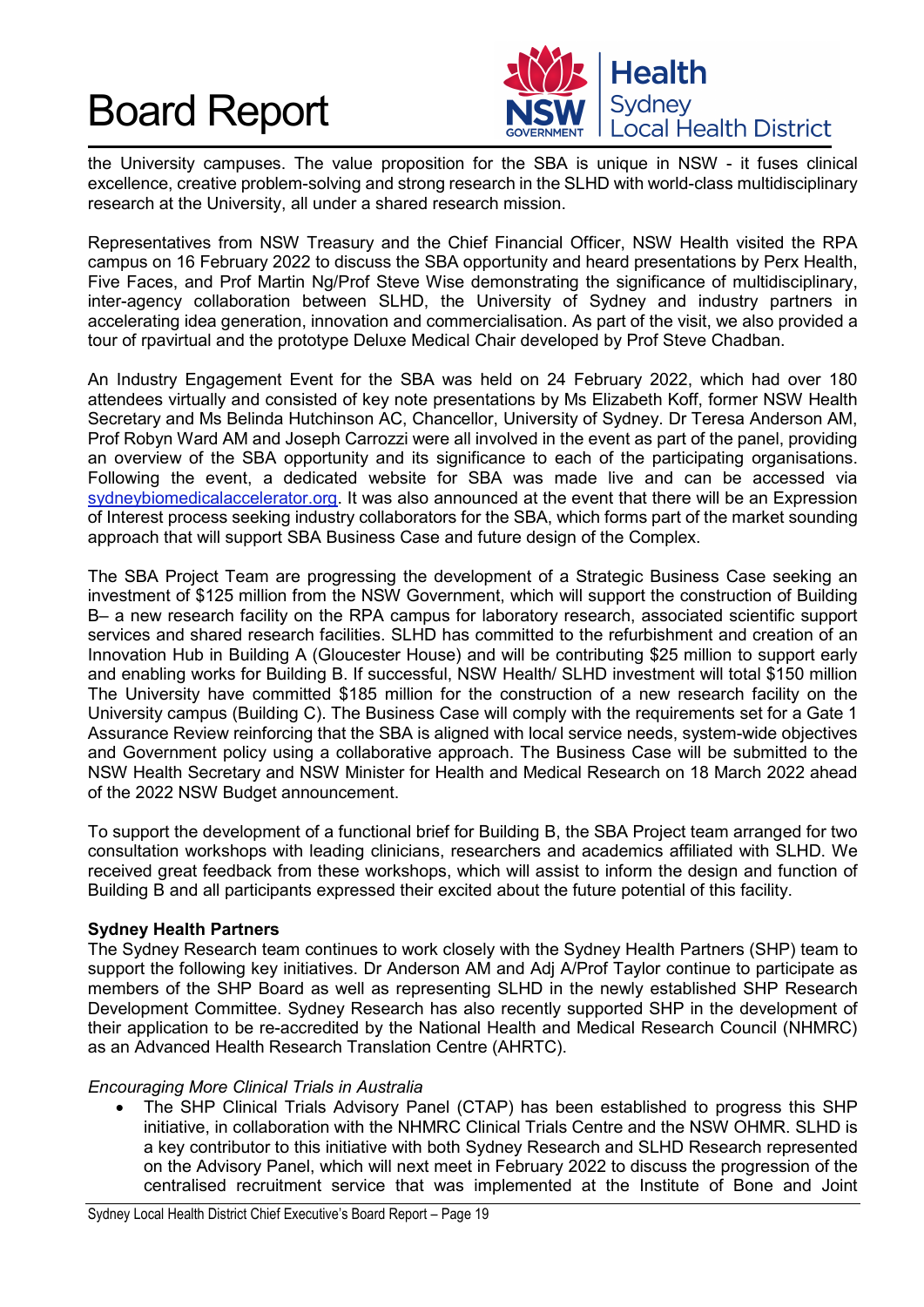

the University campuses. The value proposition for the SBA is unique in NSW - it fuses clinical excellence, creative problem-solving and strong research in the SLHD with world-class multidisciplinary research at the University, all under a shared research mission.

Representatives from NSW Treasury and the Chief Financial Officer, NSW Health visited the RPA campus on 16 February 2022 to discuss the SBA opportunity and heard presentations by Perx Health, Five Faces, and Prof Martin Ng/Prof Steve Wise demonstrating the significance of multidisciplinary, inter-agency collaboration between SLHD, the University of Sydney and industry partners in accelerating idea generation, innovation and commercialisation. As part of the visit, we also provided a tour of rpavirtual and the prototype Deluxe Medical Chair developed by Prof Steve Chadban.

An Industry Engagement Event for the SBA was held on 24 February 2022, which had over 180 attendees virtually and consisted of key note presentations by Ms Elizabeth Koff, former NSW Health Secretary and Ms Belinda Hutchinson AC, Chancellor, University of Sydney. Dr Teresa Anderson AM, Prof Robyn Ward AM and Joseph Carrozzi were all involved in the event as part of the panel, providing an overview of the SBA opportunity and its significance to each of the participating organisations. Following the event, a dedicated website for SBA was made live and can be accessed via sydneybiomedicalaccelerator.org. It was also announced at the event that there will be an Expression of Interest process seeking industry collaborators for the SBA, which forms part of the market sounding approach that will support SBA Business Case and future design of the Complex.

The SBA Project Team are progressing the development of a Strategic Business Case seeking an investment of \$125 million from the NSW Government, which will support the construction of Building B– a new research facility on the RPA campus for laboratory research, associated scientific support services and shared research facilities. SLHD has committed to the refurbishment and creation of an Innovation Hub in Building A (Gloucester House) and will be contributing \$25 million to support early and enabling works for Building B. If successful, NSW Health/ SLHD investment will total \$150 million The University have committed \$185 million for the construction of a new research facility on the University campus (Building C). The Business Case will comply with the requirements set for a Gate 1 Assurance Review reinforcing that the SBA is aligned with local service needs, system-wide objectives and Government policy using a collaborative approach. The Business Case will be submitted to the NSW Health Secretary and NSW Minister for Health and Medical Research on 18 March 2022 ahead of the 2022 NSW Budget announcement.

To support the development of a functional brief for Building B, the SBA Project team arranged for two consultation workshops with leading clinicians, researchers and academics affiliated with SLHD. We received great feedback from these workshops, which will assist to inform the design and function of Building B and all participants expressed their excited about the future potential of this facility.

#### **Sydney Health Partners**

The Sydney Research team continues to work closely with the Sydney Health Partners (SHP) team to support the following key initiatives. Dr Anderson AM and Adj A/Prof Taylor continue to participate as members of the SHP Board as well as representing SLHD in the newly established SHP Research Development Committee. Sydney Research has also recently supported SHP in the development of their application to be re-accredited by the National Health and Medical Research Council (NHMRC) as an Advanced Health Research Translation Centre (AHRTC).

#### *Encouraging More Clinical Trials in Australia*

• The SHP Clinical Trials Advisory Panel (CTAP) has been established to progress this SHP initiative, in collaboration with the NHMRC Clinical Trials Centre and the NSW OHMR. SLHD is a key contributor to this initiative with both Sydney Research and SLHD Research represented on the Advisory Panel, which will next meet in February 2022 to discuss the progression of the centralised recruitment service that was implemented at the Institute of Bone and Joint